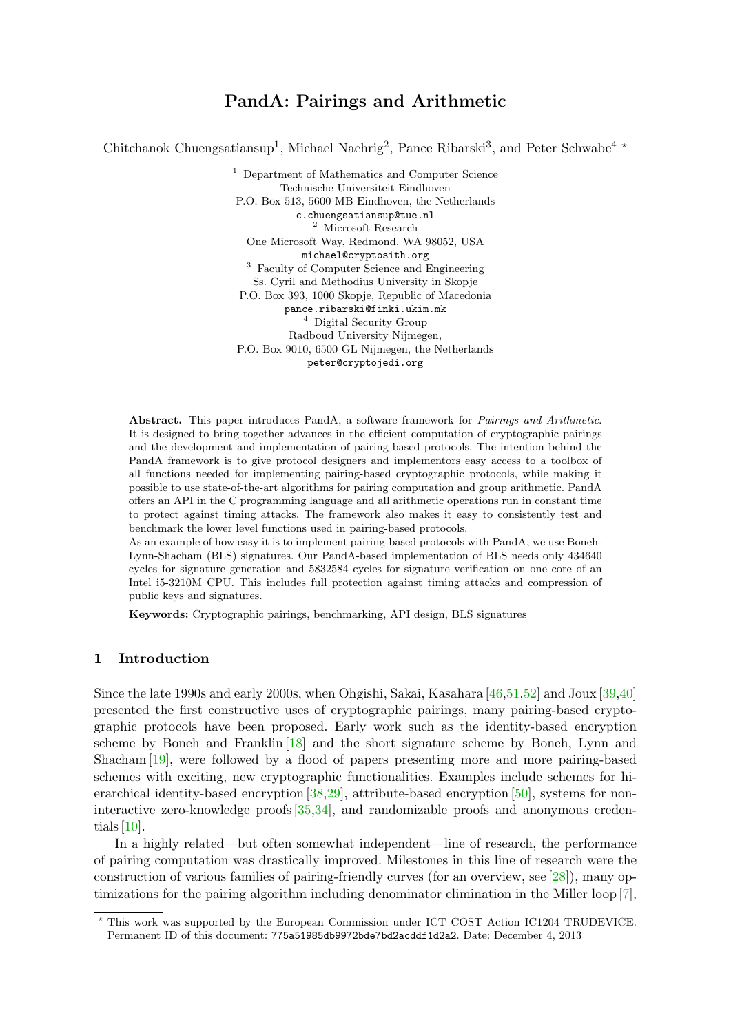# PandA: Pairings and Arithmetic

<span id="page-0-0"></span>Chitchanok Chuengsatiansup<sup>1</sup>, Michael Naehrig<sup>2</sup>, Pance Ribarski<sup>3</sup>, and Peter Schwabe<sup>4</sup><sup>\*</sup>

<sup>1</sup> Department of Mathematics and Computer Science Technische Universiteit Eindhoven P.O. Box 513, 5600 MB Eindhoven, the Netherlands c.chuengsatiansup@tue.nl <sup>2</sup> Microsoft Research One Microsoft Way, Redmond, WA 98052, USA michael@cryptosith.org <sup>3</sup> Faculty of Computer Science and Engineering Ss. Cyril and Methodius University in Skopje P.O. Box 393, 1000 Skopje, Republic of Macedonia pance.ribarski@finki.ukim.mk  $^4\,$  Digital Security Group Radboud University Nijmegen, P.O. Box 9010, 6500 GL Nijmegen, the Netherlands peter@cryptojedi.org

Abstract. This paper introduces PandA, a software framework for *Pairings and Arithmetic*. It is designed to bring together advances in the efficient computation of cryptographic pairings and the development and implementation of pairing-based protocols. The intention behind the PandA framework is to give protocol designers and implementors easy access to a toolbox of all functions needed for implementing pairing-based cryptographic protocols, while making it possible to use state-of-the-art algorithms for pairing computation and group arithmetic. PandA offers an API in the C programming language and all arithmetic operations run in constant time to protect against timing attacks. The framework also makes it easy to consistently test and benchmark the lower level functions used in pairing-based protocols.

As an example of how easy it is to implement pairing-based protocols with PandA, we use Boneh-Lynn-Shacham (BLS) signatures. Our PandA-based implementation of BLS needs only 434640 cycles for signature generation and 5832584 cycles for signature verification on one core of an Intel i5-3210M CPU. This includes full protection against timing attacks and compression of public keys and signatures.

Keywords: Cryptographic pairings, benchmarking, API design, BLS signatures

# 1 Introduction

Since the late 1990s and early 2000s, when Ohgishi, Sakai, Kasahara [\[46](#page-17-0)[,51](#page-17-1)[,52\]](#page-17-2) and Joux [\[39,](#page-16-0)[40\]](#page-16-1) presented the first constructive uses of cryptographic pairings, many pairing-based cryptographic protocols have been proposed. Early work such as the identity-based encryption scheme by Boneh and Franklin [\[18\]](#page-15-0) and the short signature scheme by Boneh, Lynn and Shacham [\[19\]](#page-15-1), were followed by a flood of papers presenting more and more pairing-based schemes with exciting, new cryptographic functionalities. Examples include schemes for hierarchical identity-based encryption [\[38](#page-16-2)[,29\]](#page-16-3), attribute-based encryption [\[50\]](#page-17-3), systems for noninteractive zero-knowledge proofs [\[35](#page-16-4)[,34\]](#page-16-5), and randomizable proofs and anonymous credentials [\[10\]](#page-15-2).

In a highly related—but often somewhat independent—line of research, the performance of pairing computation was drastically improved. Milestones in this line of research were the construction of various families of pairing-friendly curves (for an overview, see [\[28\]](#page-16-6)), many optimizations for the pairing algorithm including denominator elimination in the Miller loop [\[7\]](#page-15-3),

<sup>?</sup> This work was supported by the European Commission under ICT COST Action IC1204 TRUDEVICE. Permanent ID of this document: 775a51985db9972bde7bd2acddf1d2a2. Date: December 4, 2013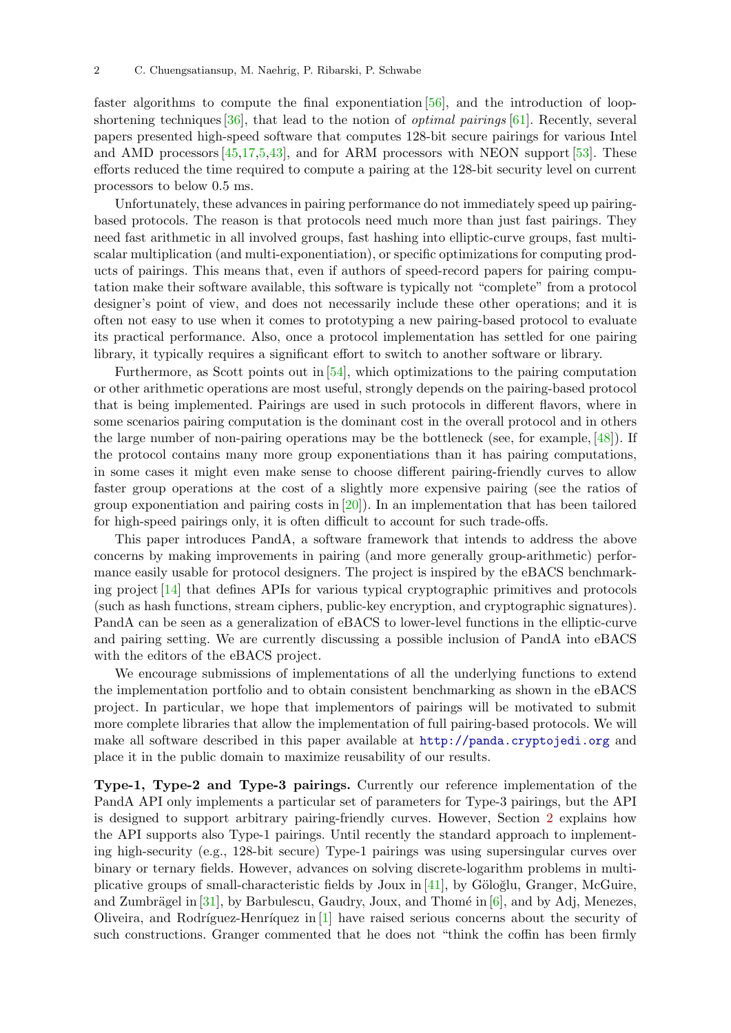<span id="page-1-0"></span>faster algorithms to compute the final exponentiation [\[56\]](#page-17-4), and the introduction of loopshortening techniques  $[36]$ , that lead to the notion of *optimal pairings*  $[61]$ . Recently, several papers presented high-speed software that computes 128-bit secure pairings for various Intel and AMD processors  $[45,17,5,43]$  $[45,17,5,43]$  $[45,17,5,43]$  $[45,17,5,43]$ , and for ARM processors with NEON support  $[53]$ . These efforts reduced the time required to compute a pairing at the 128-bit security level on current processors to below 0.5 ms.

Unfortunately, these advances in pairing performance do not immediately speed up pairingbased protocols. The reason is that protocols need much more than just fast pairings. They need fast arithmetic in all involved groups, fast hashing into elliptic-curve groups, fast multiscalar multiplication (and multi-exponentiation), or specific optimizations for computing products of pairings. This means that, even if authors of speed-record papers for pairing computation make their software available, this software is typically not "complete" from a protocol designer's point of view, and does not necessarily include these other operations; and it is often not easy to use when it comes to prototyping a new pairing-based protocol to evaluate its practical performance. Also, once a protocol implementation has settled for one pairing library, it typically requires a significant effort to switch to another software or library.

Furthermore, as Scott points out in [\[54\]](#page-17-7), which optimizations to the pairing computation or other arithmetic operations are most useful, strongly depends on the pairing-based protocol that is being implemented. Pairings are used in such protocols in different flavors, where in some scenarios pairing computation is the dominant cost in the overall protocol and in others the large number of non-pairing operations may be the bottleneck (see, for example, [\[48\]](#page-17-8)). If the protocol contains many more group exponentiations than it has pairing computations, in some cases it might even make sense to choose different pairing-friendly curves to allow faster group operations at the cost of a slightly more expensive pairing (see the ratios of group exponentiation and pairing costs in  $[20]$ ). In an implementation that has been tailored for high-speed pairings only, it is often difficult to account for such trade-offs.

This paper introduces PandA, a software framework that intends to address the above concerns by making improvements in pairing (and more generally group-arithmetic) performance easily usable for protocol designers. The project is inspired by the eBACS benchmarking project [\[14\]](#page-15-7) that defines APIs for various typical cryptographic primitives and protocols (such as hash functions, stream ciphers, public-key encryption, and cryptographic signatures). PandA can be seen as a generalization of eBACS to lower-level functions in the elliptic-curve and pairing setting. We are currently discussing a possible inclusion of PandA into eBACS with the editors of the eBACS project.

We encourage submissions of implementations of all the underlying functions to extend the implementation portfolio and to obtain consistent benchmarking as shown in the eBACS project. In particular, we hope that implementors of pairings will be motivated to submit more complete libraries that allow the implementation of full pairing-based protocols. We will make all software described in this paper available at <http://panda.cryptojedi.org> and place it in the public domain to maximize reusability of our results.

Type-1, Type-2 and Type-3 pairings. Currently our reference implementation of the PandA API only implements a particular set of parameters for Type-3 pairings, but the API is designed to support arbitrary pairing-friendly curves. However, Section [2](#page-3-0) explains how the API supports also Type-1 pairings. Until recently the standard approach to implementing high-security (e.g., 128-bit secure) Type-1 pairings was using supersingular curves over binary or ternary fields. However, advances on solving discrete-logarithm problems in multiplicative groups of small-characteristic fields by Joux in  $[41]$ , by Göloğlu, Granger, McGuire, and Zumbrägel in [\[31\]](#page-16-11), by Barbulescu, Gaudry, Joux, and Thomé in  $[6]$ , and by Adj, Menezes, Oliveira, and Rodríguez-Henríquez in  $[1]$  have raised serious concerns about the security of such constructions. Granger commented that he does not "think the coffin has been firmly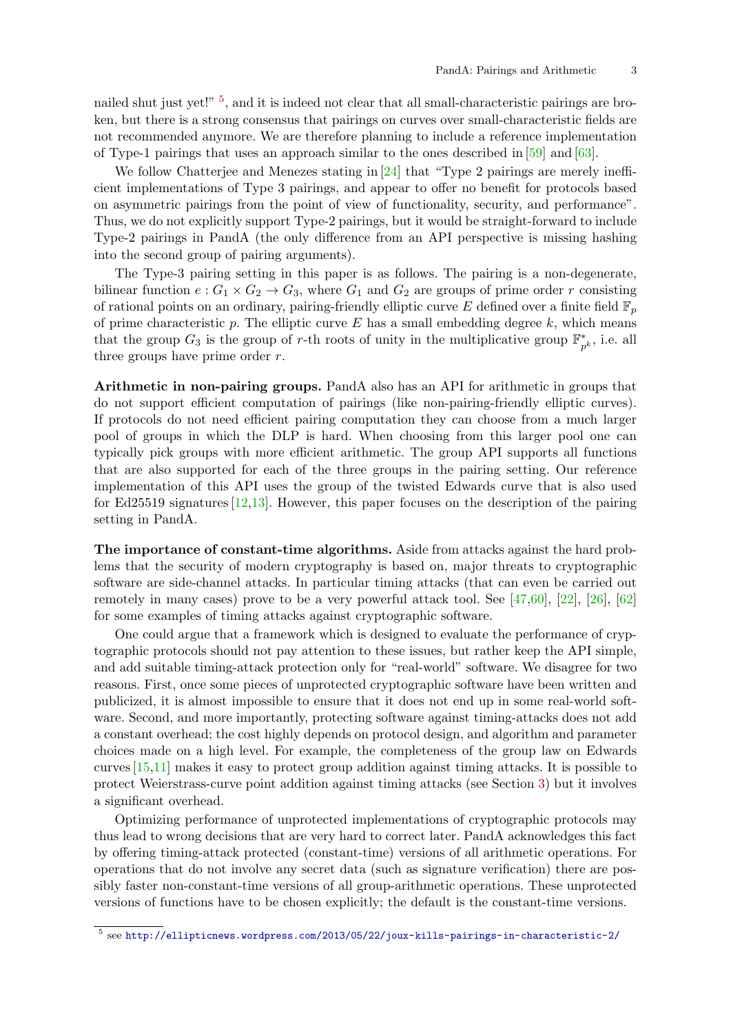<span id="page-2-1"></span>nailed shut just yet!" <sup>[5](#page-2-0)</sup>, and it is indeed not clear that all small-characteristic pairings are broken, but there is a strong consensus that pairings on curves over small-characteristic fields are not recommended anymore. We are therefore planning to include a reference implementation of Type-1 pairings that uses an approach similar to the ones described in [\[59\]](#page-17-9) and [\[63\]](#page-17-10).

We follow Chatterjee and Menezes stating in [\[24\]](#page-16-12) that "Type 2 pairings are merely inefficient implementations of Type 3 pairings, and appear to offer no benefit for protocols based on asymmetric pairings from the point of view of functionality, security, and performance". Thus, we do not explicitly support Type-2 pairings, but it would be straight-forward to include Type-2 pairings in PandA (the only difference from an API perspective is missing hashing into the second group of pairing arguments).

The Type-3 pairing setting in this paper is as follows. The pairing is a non-degenerate, bilinear function  $e: G_1 \times G_2 \to G_3$ , where  $G_1$  and  $G_2$  are groups of prime order r consisting of rational points on an ordinary, pairing-friendly elliptic curve E defined over a finite field  $\mathbb{F}_p$ of prime characteristic p. The elliptic curve  $E$  has a small embedding degree  $k$ , which means that the group  $G_3$  is the group of r-th roots of unity in the multiplicative group  $\mathbb{F}_n^*$  $_{p^k}^*$ , i.e. all three groups have prime order  $r$ .

Arithmetic in non-pairing groups. PandA also has an API for arithmetic in groups that do not support efficient computation of pairings (like non-pairing-friendly elliptic curves). If protocols do not need efficient pairing computation they can choose from a much larger pool of groups in which the DLP is hard. When choosing from this larger pool one can typically pick groups with more efficient arithmetic. The group API supports all functions that are also supported for each of the three groups in the pairing setting. Our reference implementation of this API uses the group of the twisted Edwards curve that is also used for Ed25519 signatures  $[12,13]$  $[12,13]$ . However, this paper focuses on the description of the pairing setting in PandA.

The importance of constant-time algorithms. Aside from attacks against the hard problems that the security of modern cryptography is based on, major threats to cryptographic software are side-channel attacks. In particular timing attacks (that can even be carried out remotely in many cases) prove to be a very powerful attack tool. See  $[47,60]$  $[47,60]$ ,  $[22]$ ,  $[26]$ ,  $[62]$ for some examples of timing attacks against cryptographic software.

One could argue that a framework which is designed to evaluate the performance of cryptographic protocols should not pay attention to these issues, but rather keep the API simple, and add suitable timing-attack protection only for "real-world" software. We disagree for two reasons. First, once some pieces of unprotected cryptographic software have been written and publicized, it is almost impossible to ensure that it does not end up in some real-world software. Second, and more importantly, protecting software against timing-attacks does not add a constant overhead; the cost highly depends on protocol design, and algorithm and parameter choices made on a high level. For example, the completeness of the group law on Edwards curves [\[15](#page-15-12)[,11\]](#page-15-13) makes it easy to protect group addition against timing attacks. It is possible to protect Weierstrass-curve point addition against timing attacks (see Section [3\)](#page-7-0) but it involves a significant overhead.

Optimizing performance of unprotected implementations of cryptographic protocols may thus lead to wrong decisions that are very hard to correct later. PandA acknowledges this fact by offering timing-attack protected (constant-time) versions of all arithmetic operations. For operations that do not involve any secret data (such as signature verification) there are possibly faster non-constant-time versions of all group-arithmetic operations. These unprotected versions of functions have to be chosen explicitly; the default is the constant-time versions.

<span id="page-2-0"></span><sup>5</sup> see <http://ellipticnews.wordpress.com/2013/05/22/joux-kills-pairings-in-characteristic-2/>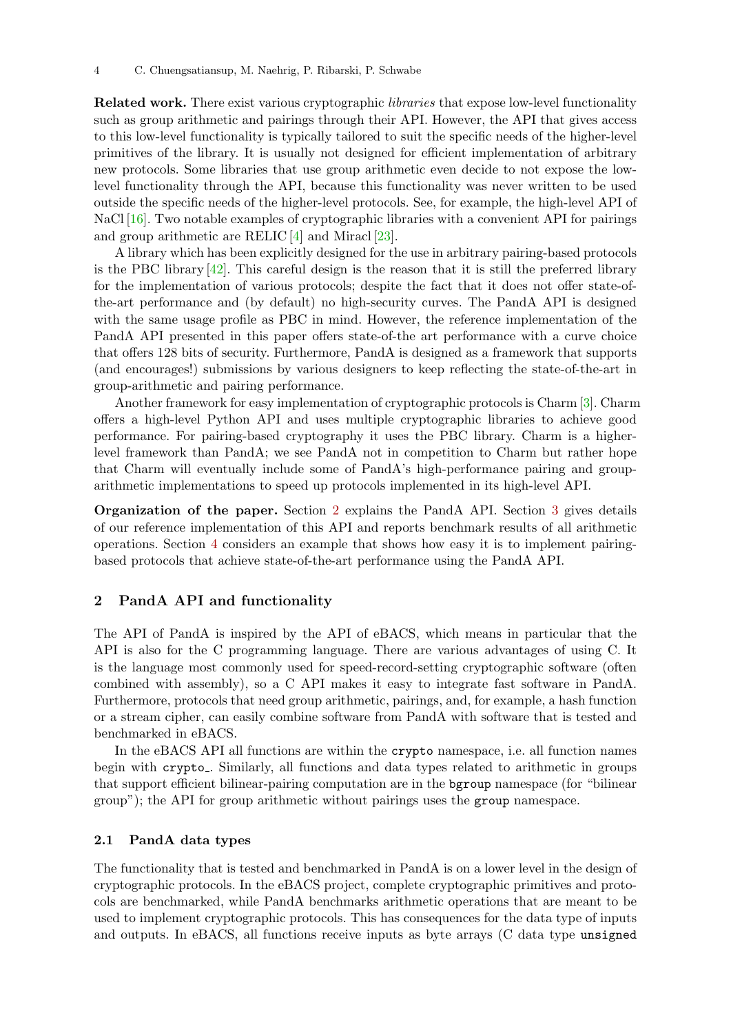<span id="page-3-1"></span>Related work. There exist various cryptographic *libraries* that expose low-level functionality such as group arithmetic and pairings through their API. However, the API that gives access to this low-level functionality is typically tailored to suit the specific needs of the higher-level primitives of the library. It is usually not designed for efficient implementation of arbitrary new protocols. Some libraries that use group arithmetic even decide to not expose the lowlevel functionality through the API, because this functionality was never written to be used outside the specific needs of the higher-level protocols. See, for example, the high-level API of NaCl [\[16\]](#page-15-14). Two notable examples of cryptographic libraries with a convenient API for pairings and group arithmetic are RELIC [\[4\]](#page-15-15) and Miracl [\[23\]](#page-16-15).

A library which has been explicitly designed for the use in arbitrary pairing-based protocols is the PBC library  $[42]$ . This careful design is the reason that it is still the preferred library for the implementation of various protocols; despite the fact that it does not offer state-ofthe-art performance and (by default) no high-security curves. The PandA API is designed with the same usage profile as PBC in mind. However, the reference implementation of the PandA API presented in this paper offers state-of-the art performance with a curve choice that offers 128 bits of security. Furthermore, PandA is designed as a framework that supports (and encourages!) submissions by various designers to keep reflecting the state-of-the-art in group-arithmetic and pairing performance.

Another framework for easy implementation of cryptographic protocols is Charm [\[3\]](#page-15-16). Charm offers a high-level Python API and uses multiple cryptographic libraries to achieve good performance. For pairing-based cryptography it uses the PBC library. Charm is a higherlevel framework than PandA; we see PandA not in competition to Charm but rather hope that Charm will eventually include some of PandA's high-performance pairing and grouparithmetic implementations to speed up protocols implemented in its high-level API.

Organization of the paper. Section [2](#page-3-0) explains the PandA API. Section [3](#page-7-0) gives details of our reference implementation of this API and reports benchmark results of all arithmetic operations. Section [4](#page-9-0) considers an example that shows how easy it is to implement pairingbased protocols that achieve state-of-the-art performance using the PandA API.

### <span id="page-3-0"></span>2 PandA API and functionality

The API of PandA is inspired by the API of eBACS, which means in particular that the API is also for the C programming language. There are various advantages of using C. It is the language most commonly used for speed-record-setting cryptographic software (often combined with assembly), so a C API makes it easy to integrate fast software in PandA. Furthermore, protocols that need group arithmetic, pairings, and, for example, a hash function or a stream cipher, can easily combine software from PandA with software that is tested and benchmarked in eBACS.

In the eBACS API all functions are within the crypto namespace, i.e. all function names begin with crypto. Similarly, all functions and data types related to arithmetic in groups that support efficient bilinear-pairing computation are in the bgroup namespace (for "bilinear group"); the API for group arithmetic without pairings uses the group namespace.

# 2.1 PandA data types

The functionality that is tested and benchmarked in PandA is on a lower level in the design of cryptographic protocols. In the eBACS project, complete cryptographic primitives and protocols are benchmarked, while PandA benchmarks arithmetic operations that are meant to be used to implement cryptographic protocols. This has consequences for the data type of inputs and outputs. In eBACS, all functions receive inputs as byte arrays (C data type unsigned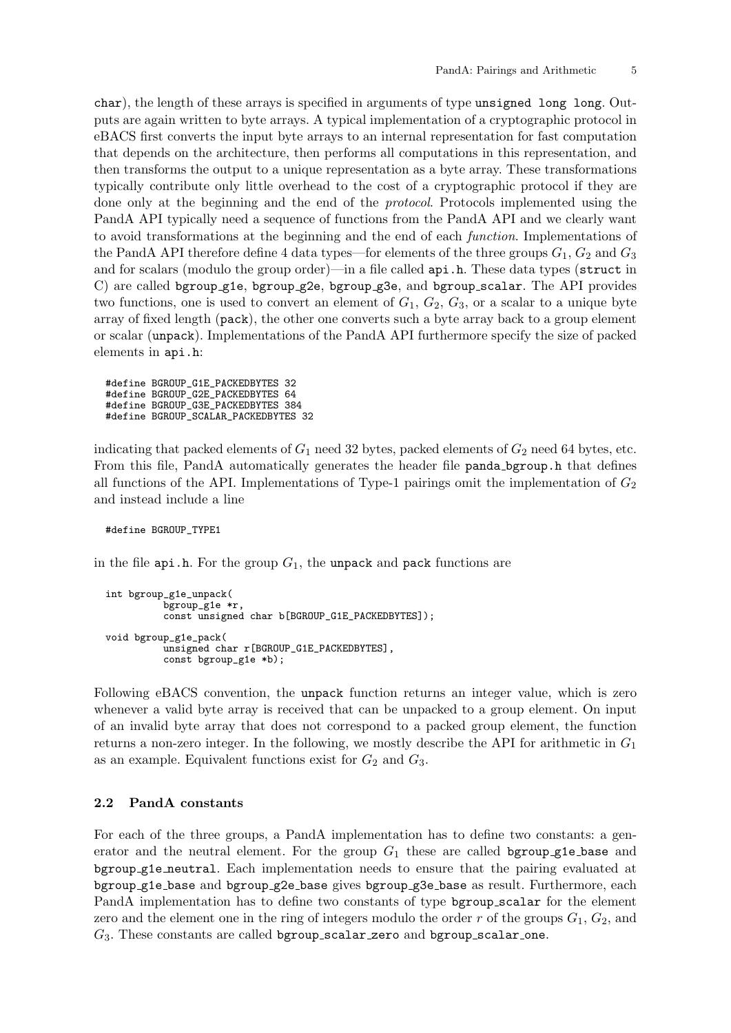char), the length of these arrays is specified in arguments of type unsigned long long. Outputs are again written to byte arrays. A typical implementation of a cryptographic protocol in eBACS first converts the input byte arrays to an internal representation for fast computation that depends on the architecture, then performs all computations in this representation, and then transforms the output to a unique representation as a byte array. These transformations typically contribute only little overhead to the cost of a cryptographic protocol if they are done only at the beginning and the end of the protocol. Protocols implemented using the PandA API typically need a sequence of functions from the PandA API and we clearly want to avoid transformations at the beginning and the end of each function. Implementations of the PandA API therefore define 4 data types—for elements of the three groups  $G_1, G_2$  and  $G_3$ and for scalars (modulo the group order)—in a file called api.h. These data types (struct in C) are called bgroup g1e, bgroup g2e, bgroup g3e, and bgroup scalar. The API provides two functions, one is used to convert an element of  $G_1, G_2, G_3$ , or a scalar to a unique byte array of fixed length (pack), the other one converts such a byte array back to a group element or scalar (unpack). Implementations of the PandA API furthermore specify the size of packed elements in api.h:

```
#define BGROUP_G1E_PACKEDBYTES 32
#define BGROUP_G2E_PACKEDBYTES 64
#define BGROUP_G3E_PACKEDBYTES 384
#define BGROUP_SCALAR_PACKEDBYTES 32
```
indicating that packed elements of  $G_1$  need 32 bytes, packed elements of  $G_2$  need 64 bytes, etc. From this file, PandA automatically generates the header file panda bgroup. h that defines all functions of the API. Implementations of Type-1 pairings omit the implementation of  $G_2$ and instead include a line

```
#define BGROUP_TYPE1
```
in the file api.h. For the group  $G_1$ , the unpack and pack functions are

```
int bgroup_g1e_unpack(
          bgroup_g1e *r,
          const unsigned char b[BGROUP_G1E_PACKEDBYTES]);
void bgroup_g1e_pack(
          unsigned char r[BGROUP_G1E_PACKEDBYTES],
          const bgroup_g1e *b);
```
Following eBACS convention, the unpack function returns an integer value, which is zero whenever a valid byte array is received that can be unpacked to a group element. On input of an invalid byte array that does not correspond to a packed group element, the function returns a non-zero integer. In the following, we mostly describe the API for arithmetic in  $G_1$ as an example. Equivalent functions exist for  $G_2$  and  $G_3$ .

### 2.2 PandA constants

For each of the three groups, a PandA implementation has to define two constants: a generator and the neutral element. For the group  $G_1$  these are called bgroup g1e base and bgroup g1e neutral. Each implementation needs to ensure that the pairing evaluated at bgroup g1e base and bgroup g2e base gives bgroup g3e base as result. Furthermore, each PandA implementation has to define two constants of type bgroup\_scalar for the element zero and the element one in the ring of integers modulo the order r of the groups  $G_1, G_2$ , and  $G_3$ . These constants are called bgroup\_scalar\_zero and bgroup\_scalar\_one.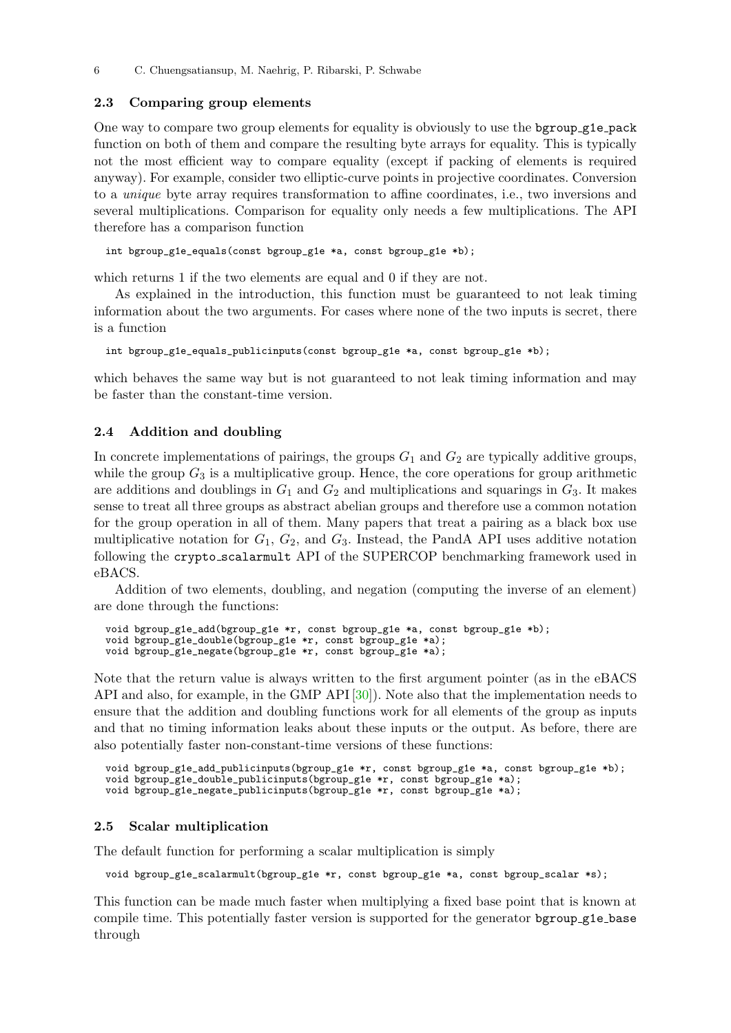<span id="page-5-0"></span>6 C. Chuengsatiansup, M. Naehrig, P. Ribarski, P. Schwabe

#### 2.3 Comparing group elements

One way to compare two group elements for equality is obviously to use the bgroup g1e pack function on both of them and compare the resulting byte arrays for equality. This is typically not the most efficient way to compare equality (except if packing of elements is required anyway). For example, consider two elliptic-curve points in projective coordinates. Conversion to a unique byte array requires transformation to affine coordinates, i.e., two inversions and several multiplications. Comparison for equality only needs a few multiplications. The API therefore has a comparison function

int bgroup\_g1e\_equals(const bgroup\_g1e \*a, const bgroup\_g1e \*b);

which returns 1 if the two elements are equal and 0 if they are not.

As explained in the introduction, this function must be guaranteed to not leak timing information about the two arguments. For cases where none of the two inputs is secret, there is a function

int bgroup\_g1e\_equals\_publicinputs(const bgroup\_g1e \*a, const bgroup\_g1e \*b);

which behaves the same way but is not guaranteed to not leak timing information and may be faster than the constant-time version.

#### 2.4 Addition and doubling

In concrete implementations of pairings, the groups  $G_1$  and  $G_2$  are typically additive groups, while the group  $G_3$  is a multiplicative group. Hence, the core operations for group arithmetic are additions and doublings in  $G_1$  and  $G_2$  and multiplications and squarings in  $G_3$ . It makes sense to treat all three groups as abstract abelian groups and therefore use a common notation for the group operation in all of them. Many papers that treat a pairing as a black box use multiplicative notation for  $G_1, G_2$ , and  $G_3$ . Instead, the PandA API uses additive notation following the crypto scalarmult API of the SUPERCOP benchmarking framework used in eBACS.

Addition of two elements, doubling, and negation (computing the inverse of an element) are done through the functions:

```
void bgroup_g1e_add(bgroup_g1e *r, const bgroup_g1e *a, const bgroup_g1e *b);
void bgroup_g1e_double(bgroup_g1e *r, const bgroup_g1e *a);
void bgroup_g1e_negate(bgroup_g1e *r, const bgroup_g1e *a);
```
Note that the return value is always written to the first argument pointer (as in the eBACS API and also, for example, in the GMP API [\[30\]](#page-16-17)). Note also that the implementation needs to ensure that the addition and doubling functions work for all elements of the group as inputs and that no timing information leaks about these inputs or the output. As before, there are also potentially faster non-constant-time versions of these functions:

```
void bgroup_g1e_add_publicinputs(bgroup_g1e *r, const bgroup_g1e *a, const bgroup_g1e *b);
void bgroup_g1e_double_publicinputs(bgroup_g1e *r, const bgroup_g1e *a);
void bgroup_g1e_negate_publicinputs(bgroup_g1e *r, const bgroup_g1e *a);
```
### 2.5 Scalar multiplication

The default function for performing a scalar multiplication is simply

void bgroup\_g1e\_scalarmult(bgroup\_g1e \*r, const bgroup\_g1e \*a, const bgroup\_scalar \*s);

This function can be made much faster when multiplying a fixed base point that is known at compile time. This potentially faster version is supported for the generator bgroup g1e base through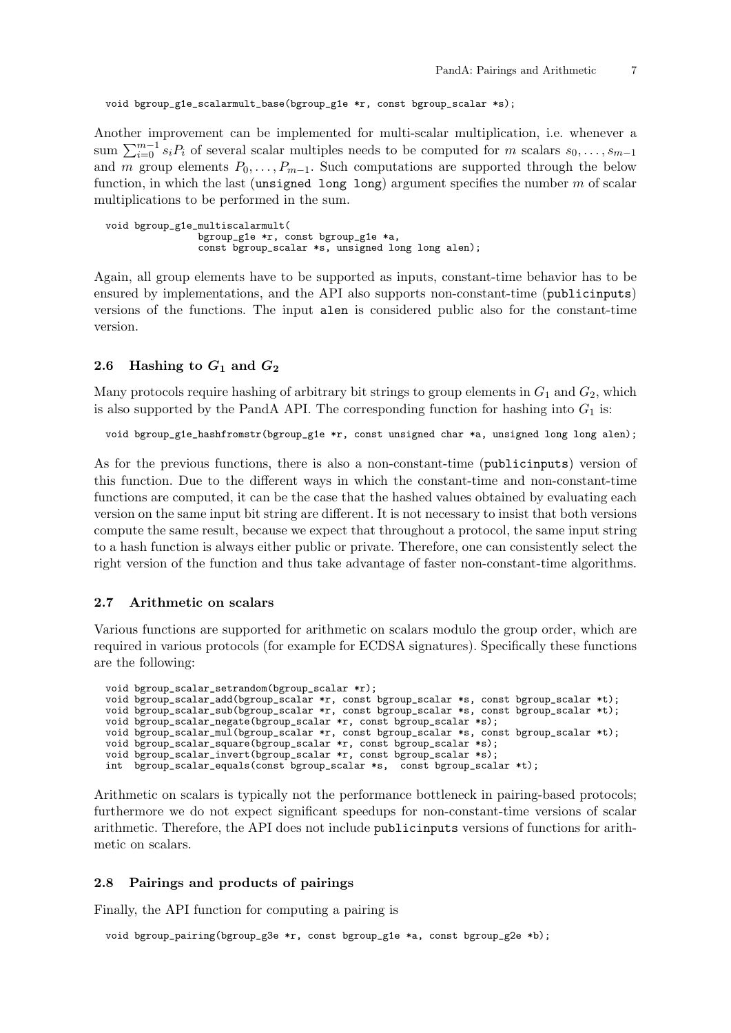#### void bgroup\_g1e\_scalarmult\_base(bgroup\_g1e \*r, const bgroup\_scalar \*s);

Another improvement can be implemented for multi-scalar multiplication, i.e. whenever a sum  $\sum_{i=0}^{m-1} s_i P_i$  of several scalar multiples needs to be computed for m scalars  $s_0, \ldots, s_{m-1}$ and m group elements  $P_0, \ldots, P_{m-1}$ . Such computations are supported through the below function, in which the last (unsigned long long) argument specifies the number  $m$  of scalar multiplications to be performed in the sum.

```
void bgroup_g1e_multiscalarmult(
                bgroup_g1e *r, const bgroup_g1e *a,
                const bgroup_scalar *s, unsigned long long alen);
```
Again, all group elements have to be supported as inputs, constant-time behavior has to be ensured by implementations, and the API also supports non-constant-time (publicinputs) versions of the functions. The input alen is considered public also for the constant-time version.

#### 2.6 Hashing to  $G_1$  and  $G_2$

Many protocols require hashing of arbitrary bit strings to group elements in  $G_1$  and  $G_2$ , which is also supported by the PandA API. The corresponding function for hashing into  $G_1$  is:

void bgroup\_g1e\_hashfromstr(bgroup\_g1e \*r, const unsigned char \*a, unsigned long long alen);

As for the previous functions, there is also a non-constant-time (publicinputs) version of this function. Due to the different ways in which the constant-time and non-constant-time functions are computed, it can be the case that the hashed values obtained by evaluating each version on the same input bit string are different. It is not necessary to insist that both versions compute the same result, because we expect that throughout a protocol, the same input string to a hash function is always either public or private. Therefore, one can consistently select the right version of the function and thus take advantage of faster non-constant-time algorithms.

#### 2.7 Arithmetic on scalars

Various functions are supported for arithmetic on scalars modulo the group order, which are required in various protocols (for example for ECDSA signatures). Specifically these functions are the following:

```
void bgroup_scalar_setrandom(bgroup_scalar *r);
void bgroup_scalar_add(bgroup_scalar *r, const bgroup_scalar *s, const bgroup_scalar *t);
void bgroup_scalar_sub(bgroup_scalar *r, const bgroup_scalar *s, const bgroup_scalar *t);
void bgroup_scalar_negate(bgroup_scalar *r, const bgroup_scalar *s);
void bgroup_scalar_mul(bgroup_scalar *r, const bgroup_scalar *s, const bgroup_scalar *t);
void bgroup_scalar_square(bgroup_scalar *r, const bgroup_scalar *s);
void bgroup_scalar_invert(bgroup_scalar *r, const bgroup_scalar *s);
int bgroup_scalar_equals(const bgroup_scalar *s, const bgroup_scalar *t);
```
Arithmetic on scalars is typically not the performance bottleneck in pairing-based protocols; furthermore we do not expect significant speedups for non-constant-time versions of scalar arithmetic. Therefore, the API does not include publicinputs versions of functions for arithmetic on scalars.

### 2.8 Pairings and products of pairings

Finally, the API function for computing a pairing is

```
void bgroup_pairing(bgroup_g3e *r, const bgroup_g1e *a, const bgroup_g2e *b);
```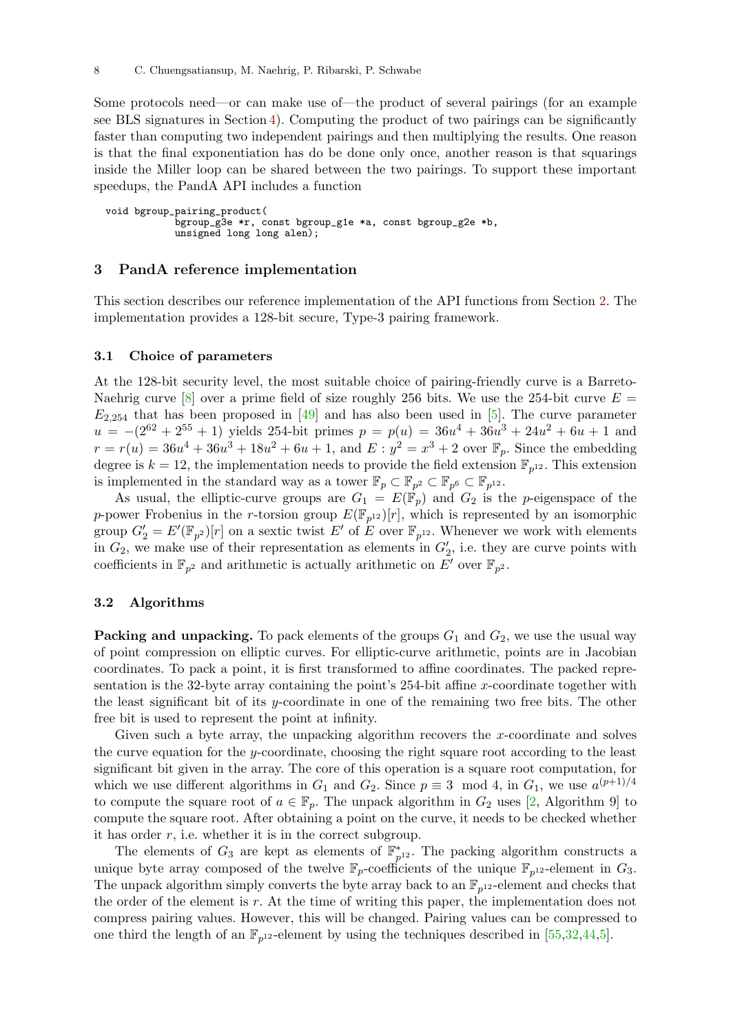<span id="page-7-1"></span>Some protocols need—or can make use of—the product of several pairings (for an example see BLS signatures in Section [4\)](#page-9-0). Computing the product of two pairings can be significantly faster than computing two independent pairings and then multiplying the results. One reason is that the final exponentiation has do be done only once, another reason is that squarings inside the Miller loop can be shared between the two pairings. To support these important speedups, the PandA API includes a function

```
void bgroup_pairing_product(
            bgroup_g3e *r, const bgroup_g1e *a, const bgroup_g2e *b,
            unsigned long long alen);
```
#### <span id="page-7-0"></span>3 PandA reference implementation

This section describes our reference implementation of the API functions from Section [2.](#page-3-0) The implementation provides a 128-bit secure, Type-3 pairing framework.

#### 3.1 Choice of parameters

At the 128-bit security level, the most suitable choice of pairing-friendly curve is a Barreto-Naehrig curve  $[8]$  over a prime field of size roughly 256 bits. We use the 254-bit curve  $E =$  $E_{2,254}$  that has been proposed in [\[49\]](#page-17-14) and has also been used in [\[5\]](#page-15-5). The curve parameter  $u = -(2^{62} + 2^{55} + 1)$  yields 254-bit primes  $p = p(u) = 36u^4 + 36u^3 + 24u^2 + 6u + 1$  and  $r = r(u) = 36u^4 + 36u^3 + 18u^2 + 6u + 1$ , and  $E : y^2 = x^3 + 2$  over  $\mathbb{F}_p$ . Since the embedding degree is  $k = 12$ , the implementation needs to provide the field extension  $\mathbb{F}_{p^{12}}$ . This extension is implemented in the standard way as a tower  $\mathbb{F}_p \subset \mathbb{F}_{p^2} \subset \mathbb{F}_{p^6} \subset \mathbb{F}_{p^{12}}$ .

As usual, the elliptic-curve groups are  $G_1 = E(\mathbb{F}_p)$  and  $G_2$  is the p-eigenspace of the p-power Frobenius in the r-torsion group  $E(\mathbb{F}_{p^{12}})[r]$ , which is represented by an isomorphic group  $G_2' = E'(\mathbb{F}_{p^2})[r]$  on a sextic twist  $E'$  of  $E$  over  $\mathbb{F}_{p^{12}}$ . Whenever we work with elements in  $G_2$ , we make use of their representation as elements in  $G'_2$ , i.e. they are curve points with coefficients in  $\mathbb{F}_{p^2}$  and arithmetic is actually arithmetic on  $\overline{E}'$  over  $\mathbb{F}_{p^2}$ .

#### 3.2 Algorithms

**Packing and unpacking.** To pack elements of the groups  $G_1$  and  $G_2$ , we use the usual way of point compression on elliptic curves. For elliptic-curve arithmetic, points are in Jacobian coordinates. To pack a point, it is first transformed to affine coordinates. The packed representation is the 32-byte array containing the point's 254-bit affine x-coordinate together with the least significant bit of its y-coordinate in one of the remaining two free bits. The other free bit is used to represent the point at infinity.

Given such a byte array, the unpacking algorithm recovers the  $x$ -coordinate and solves the curve equation for the y-coordinate, choosing the right square root according to the least significant bit given in the array. The core of this operation is a square root computation, for which we use different algorithms in  $G_1$  and  $G_2$ . Since  $p \equiv 3 \mod 4$ , in  $G_1$ , we use  $a^{(p+1)/4}$ to compute the square root of  $a \in \mathbb{F}_p$ . The unpack algorithm in  $G_2$  uses [\[2,](#page-15-18) Algorithm 9] to compute the square root. After obtaining a point on the curve, it needs to be checked whether it has order  $r$ , i.e. whether it is in the correct subgroup.

The elements of  $G_3$  are kept as elements of  $\mathbb{F}_{p^{12}}^*$ . The packing algorithm constructs a unique byte array composed of the twelve  $\mathbb{F}_p$ -coefficients of the unique  $\mathbb{F}_{p^{12}}$ -element in  $G_3$ . The unpack algorithm simply converts the byte array back to an  $\mathbb{F}_{p^{12}}$ -element and checks that the order of the element is r. At the time of writing this paper, the implementation does not compress pairing values. However, this will be changed. Pairing values can be compressed to one third the length of an  $\mathbb{F}_{p^{12}}$ -element by using the techniques described in [\[55,](#page-17-15)[32](#page-16-18)[,44](#page-16-19)[,5\]](#page-15-5).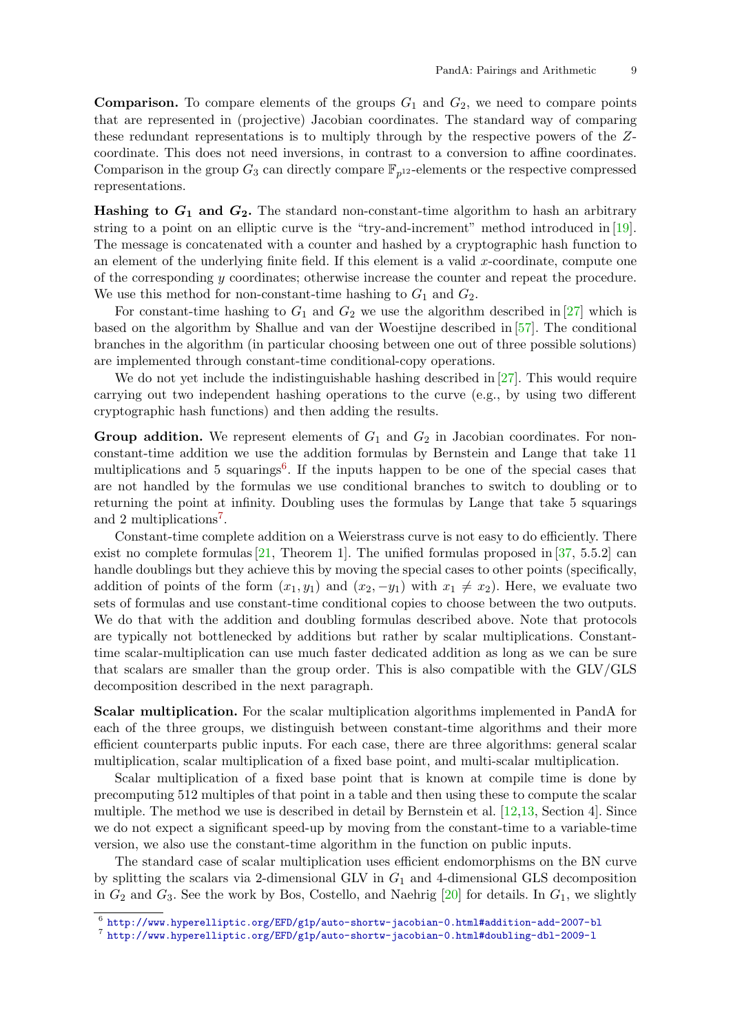<span id="page-8-2"></span>**Comparison.** To compare elements of the groups  $G_1$  and  $G_2$ , we need to compare points that are represented in (projective) Jacobian coordinates. The standard way of comparing these redundant representations is to multiply through by the respective powers of the Zcoordinate. This does not need inversions, in contrast to a conversion to affine coordinates. Comparison in the group  $G_3$  can directly compare  $\mathbb{F}_{p^{12}}$ -elements or the respective compressed representations.

**Hashing to**  $G_1$  **and**  $G_2$ **.** The standard non-constant-time algorithm to hash an arbitrary string to a point on an elliptic curve is the "try-and-increment" method introduced in [\[19\]](#page-15-1). The message is concatenated with a counter and hashed by a cryptographic hash function to an element of the underlying finite field. If this element is a valid x-coordinate, compute one of the corresponding  $y$  coordinates; otherwise increase the counter and repeat the procedure. We use this method for non-constant-time hashing to  $G_1$  and  $G_2$ .

For constant-time hashing to  $G_1$  and  $G_2$  we use the algorithm described in [\[27\]](#page-16-20) which is based on the algorithm by Shallue and van der Woestijne described in [\[57\]](#page-17-16). The conditional branches in the algorithm (in particular choosing between one out of three possible solutions) are implemented through constant-time conditional-copy operations.

We do not yet include the indistinguishable hashing described in  $[27]$ . This would require carrying out two independent hashing operations to the curve (e.g., by using two different cryptographic hash functions) and then adding the results.

**Group addition.** We represent elements of  $G_1$  and  $G_2$  in Jacobian coordinates. For nonconstant-time addition we use the addition formulas by Bernstein and Lange that take 11 multiplications and 5 squarings<sup>[6](#page-8-0)</sup>. If the inputs happen to be one of the special cases that are not handled by the formulas we use conditional branches to switch to doubling or to returning the point at infinity. Doubling uses the formulas by Lange that take 5 squarings and 2 multiplications<sup>[7](#page-8-1)</sup>.

Constant-time complete addition on a Weierstrass curve is not easy to do efficiently. There exist no complete formulas  $[21,$  Theorem 1. The unified formulas proposed in  $[37, 5.5.2]$  $[37, 5.5.2]$  can handle doublings but they achieve this by moving the special cases to other points (specifically, addition of points of the form  $(x_1, y_1)$  and  $(x_2, -y_1)$  with  $x_1 \neq x_2$ ). Here, we evaluate two sets of formulas and use constant-time conditional copies to choose between the two outputs. We do that with the addition and doubling formulas described above. Note that protocols are typically not bottlenecked by additions but rather by scalar multiplications. Constanttime scalar-multiplication can use much faster dedicated addition as long as we can be sure that scalars are smaller than the group order. This is also compatible with the GLV/GLS decomposition described in the next paragraph.

Scalar multiplication. For the scalar multiplication algorithms implemented in PandA for each of the three groups, we distinguish between constant-time algorithms and their more efficient counterparts public inputs. For each case, there are three algorithms: general scalar multiplication, scalar multiplication of a fixed base point, and multi-scalar multiplication.

Scalar multiplication of a fixed base point that is known at compile time is done by precomputing 512 multiples of that point in a table and then using these to compute the scalar multiple. The method we use is described in detail by Bernstein et al. [\[12](#page-15-10)[,13,](#page-15-11) Section 4]. Since we do not expect a significant speed-up by moving from the constant-time to a variable-time version, we also use the constant-time algorithm in the function on public inputs.

The standard case of scalar multiplication uses efficient endomorphisms on the BN curve by splitting the scalars via 2-dimensional GLV in  $G_1$  and 4-dimensional GLS decomposition in  $G_2$  and  $G_3$ . See the work by Bos, Costello, and Naehrig [\[20\]](#page-15-6) for details. In  $G_1$ , we slightly

<span id="page-8-0"></span><sup>6</sup> <http://www.hyperelliptic.org/EFD/g1p/auto-shortw-jacobian-0.html#addition-add-2007-bl>

<span id="page-8-1"></span><sup>7</sup> <http://www.hyperelliptic.org/EFD/g1p/auto-shortw-jacobian-0.html#doubling-dbl-2009-l>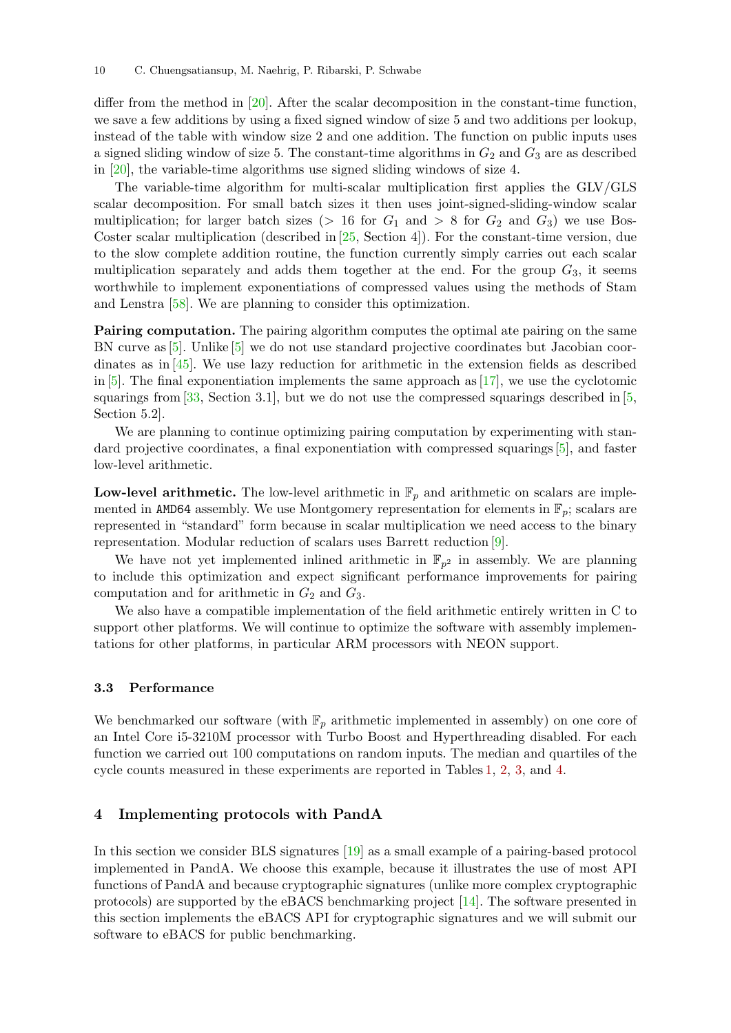<span id="page-9-1"></span>differ from the method in [\[20\]](#page-15-6). After the scalar decomposition in the constant-time function, we save a few additions by using a fixed signed window of size 5 and two additions per lookup, instead of the table with window size 2 and one addition. The function on public inputs uses a signed sliding window of size 5. The constant-time algorithms in  $G_2$  and  $G_3$  are as described in [\[20\]](#page-15-6), the variable-time algorithms use signed sliding windows of size 4.

The variable-time algorithm for multi-scalar multiplication first applies the GLV/GLS scalar decomposition. For small batch sizes it then uses joint-signed-sliding-window scalar multiplication; for larger batch sizes (> 16 for  $G_1$  and > 8 for  $G_2$  and  $G_3$ ) we use Bos-Coster scalar multiplication (described in [\[25,](#page-16-23) Section 4]). For the constant-time version, due to the slow complete addition routine, the function currently simply carries out each scalar multiplication separately and adds them together at the end. For the group  $G_3$ , it seems worthwhile to implement exponentiations of compressed values using the methods of Stam and Lenstra [\[58\]](#page-17-17). We are planning to consider this optimization.

Pairing computation. The pairing algorithm computes the optimal ate pairing on the same BN curve as [\[5\]](#page-15-5). Unlike [\[5\]](#page-15-5) we do not use standard projective coordinates but Jacobian coordinates as in  $\left[45\right]$ . We use lazy reduction for arithmetic in the extension fields as described in  $[5]$ . The final exponentiation implements the same approach as  $[17]$ , we use the cyclotomic squarings from  $[33,$  Section 3.1], but we do not use the compressed squarings described in  $[5,$ Section 5.2].

We are planning to continue optimizing pairing computation by experimenting with standard projective coordinates, a final exponentiation with compressed squarings [\[5\]](#page-15-5), and faster low-level arithmetic.

**Low-level arithmetic.** The low-level arithmetic in  $\mathbb{F}_p$  and arithmetic on scalars are implemented in AMD64 assembly. We use Montgomery representation for elements in  $\mathbb{F}_p$ ; scalars are represented in "standard" form because in scalar multiplication we need access to the binary representation. Modular reduction of scalars uses Barrett reduction [\[9\]](#page-15-19).

We have not yet implemented inlined arithmetic in  $\mathbb{F}_{p^2}$  in assembly. We are planning to include this optimization and expect significant performance improvements for pairing computation and for arithmetic in  $G_2$  and  $G_3$ .

We also have a compatible implementation of the field arithmetic entirely written in C to support other platforms. We will continue to optimize the software with assembly implementations for other platforms, in particular ARM processors with NEON support.

#### 3.3 Performance

We benchmarked our software (with  $\mathbb{F}_p$  arithmetic implemented in assembly) on one core of an Intel Core i5-3210M processor with Turbo Boost and Hyperthreading disabled. For each function we carried out 100 computations on random inputs. The median and quartiles of the cycle counts measured in these experiments are reported in Tables [1,](#page-10-0) [2,](#page-11-0) [3,](#page-12-0) and [4.](#page-13-0)

### <span id="page-9-0"></span>4 Implementing protocols with PandA

In this section we consider BLS signatures [\[19\]](#page-15-1) as a small example of a pairing-based protocol implemented in PandA. We choose this example, because it illustrates the use of most API functions of PandA and because cryptographic signatures (unlike more complex cryptographic protocols) are supported by the eBACS benchmarking project [\[14\]](#page-15-7). The software presented in this section implements the eBACS API for cryptographic signatures and we will submit our software to eBACS for public benchmarking.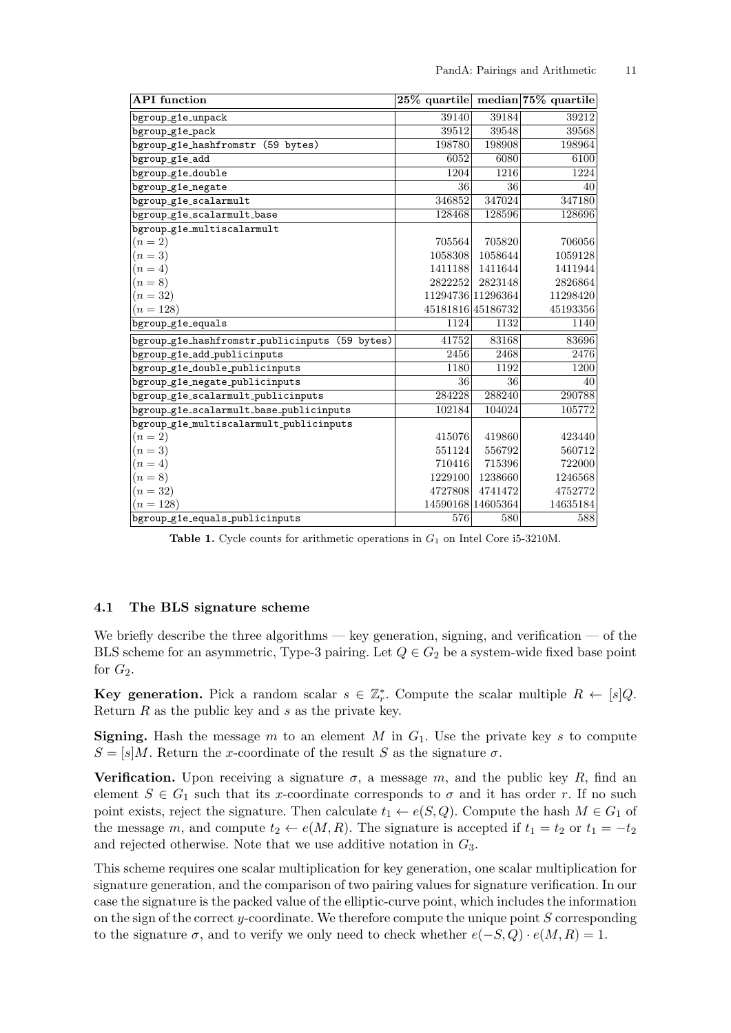| <b>API</b> function                            | $25\%$ quartile   |                   | $\text{median}$ 75% quartile |
|------------------------------------------------|-------------------|-------------------|------------------------------|
| bgroup_g1e_unpack                              | 39140             | 39184             | 39212                        |
| bgroup_g1e_pack                                | 39512             | 39548             | 39568                        |
| bgroup_g1e_hashfromstr (59 bytes)              | 198780            | 198908            | 198964                       |
| bgroup_g1e_add                                 | 6052              | 6080              | 6100                         |
| bgroup_g1e_double                              | 1204              | 1216              | 1224                         |
| bgroup_g1e_negate                              | 36                | 36                | 40                           |
| bgroup_g1e_scalarmult                          | 346852            | 347024            | 347180                       |
| bgroup_g1e_scalarmult_base                     | 128468            | 128596            | 128696                       |
| bgroup_g1e_multiscalarmult                     |                   |                   |                              |
| $(n=2)$                                        | 705564            | 705820            | 706056                       |
| $(n=3)$                                        | 1058308           | 1058644           | 1059128                      |
| $(n=4)$                                        | 1411188           | 1411644           | 1411944                      |
| $(n=8)$                                        | 2822252           | 2823148           | 2826864                      |
| $(n=32)$                                       |                   | 11294736 11296364 | 11298420                     |
| $(n=128)$                                      | 45181816 45186732 |                   | 45193356                     |
| bgroup_g1e_equals                              | 1124              | 1132              | 1140                         |
| bgroup_g1e_hashfromstr_publicinputs (59 bytes) | 41752             | 83168             | 83696                        |
| bgroup_g1e_add_publicinputs                    | 2456              | 2468              | 2476                         |
| bgroup_g1e_double_publicinputs                 | 1180              | 1192              | 1200                         |
| bgroup_g1e_negate_publicinputs                 | 36                | 36                | 40                           |
| bgroup_g1e_scalarmult_publicinputs             | 284228            | 288240            | 290788                       |
| bgroup_g1e_scalarmult_base_publicinputs        | 102184            | 104024            | 105772                       |
| bgroup_g1e_multiscalarmult_publicinputs        |                   |                   |                              |
| $(n=2)$                                        | 415076            | 419860            | 423440                       |
| $(n=3)$                                        | 551124            | 556792            | 560712                       |
| $(n = 4)$                                      | 710416            | 715396            | 722000                       |
| $(n=8)$                                        | 1229100           | 1238660           | 1246568                      |
| $(n=32)$                                       | 4727808           | 4741472           | 4752772                      |
| $(n = 128)$                                    |                   | 14590168 14605364 | 14635184                     |
| bgroup_g1e_equals_publicinputs                 | 576               | 580               | 588                          |

<span id="page-10-0"></span>

|  |  |  |  | Table 1. Cycle counts for arithmetic operations in $G_1$ on Intel Core i5-3210M. |  |  |  |  |  |
|--|--|--|--|----------------------------------------------------------------------------------|--|--|--|--|--|
|--|--|--|--|----------------------------------------------------------------------------------|--|--|--|--|--|

### 4.1 The BLS signature scheme

We briefly describe the three algorithms — key generation, signing, and verification — of the BLS scheme for an asymmetric, Type-3 pairing. Let  $Q \in G_2$  be a system-wide fixed base point for  $G_2$ .

**Key generation.** Pick a random scalar  $s \in \mathbb{Z}_r^*$ . Compute the scalar multiple  $R \leftarrow [s]Q$ . Return  $R$  as the public key and  $s$  as the private key.

**Signing.** Hash the message m to an element M in  $G_1$ . Use the private key s to compute  $S = [s]M$ . Return the x-coordinate of the result S as the signature  $\sigma$ .

**Verification.** Upon receiving a signature  $\sigma$ , a message m, and the public key R, find an element  $S \in G_1$  such that its x-coordinate corresponds to  $\sigma$  and it has order r. If no such point exists, reject the signature. Then calculate  $t_1 \leftarrow e(S, Q)$ . Compute the hash  $M \in G_1$  of the message m, and compute  $t_2 \leftarrow e(M, R)$ . The signature is accepted if  $t_1 = t_2$  or  $t_1 = -t_2$ and rejected otherwise. Note that we use additive notation in  $G_3$ .

This scheme requires one scalar multiplication for key generation, one scalar multiplication for signature generation, and the comparison of two pairing values for signature verification. In our case the signature is the packed value of the elliptic-curve point, which includes the information on the sign of the correct y-coordinate. We therefore compute the unique point  $S$  corresponding to the signature  $\sigma$ , and to verify we only need to check whether  $e(-S, Q) \cdot e(M, R) = 1$ .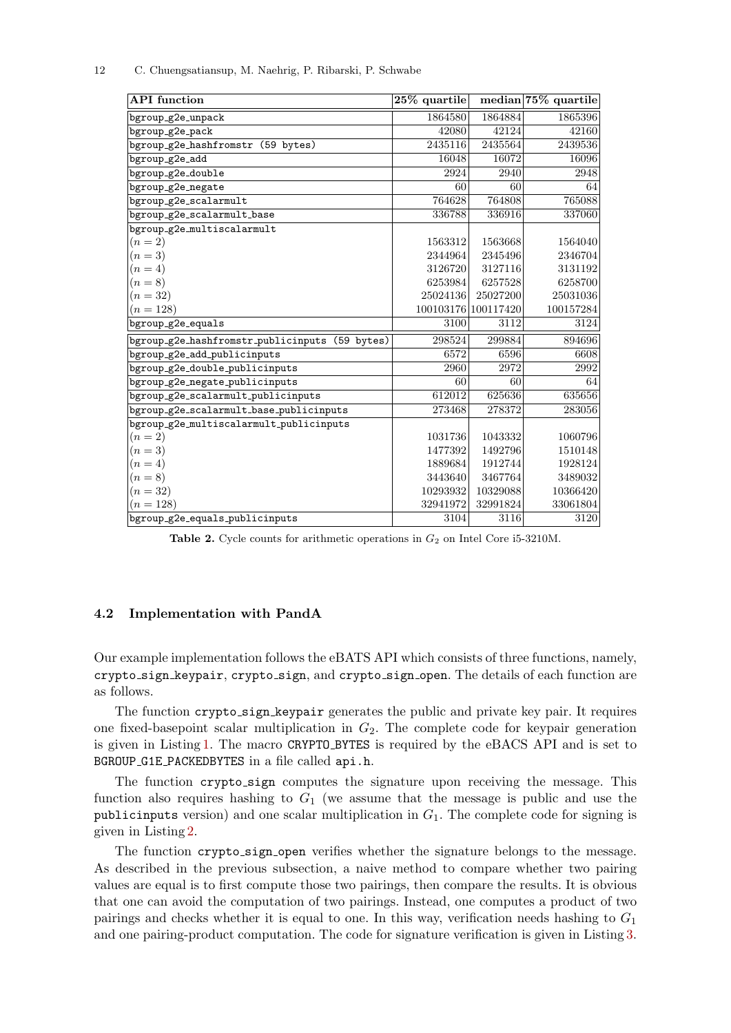| <b>API</b> function                            | $25\%$ quartile     |                     | median 75% quartile |
|------------------------------------------------|---------------------|---------------------|---------------------|
| bgroup_g2e_unpack                              | 1864580             | 1864884             | 1865396             |
| bgroup_g2e_pack                                | 42080               | 42124               | $\overline{42160}$  |
| bgroup_g2e_hashfromstr (59 bytes)              | 2435116             | 2435564             | 2439536             |
| bgroup_g2e_add                                 | 16048               | 16072               | 16096               |
| bgroup_g2e_double                              | 2924                | 2940                | 2948                |
| bgroup_g2e_negate                              | 60                  | 60                  | 64                  |
| bgroup_g2e_scalarmult                          | 764628              | 764808              | 765088              |
| bgroup_g2e_scalarmult_base                     | 336788              | 336916              | 337060              |
| bgroup_g2e_multiscalarmult                     |                     |                     |                     |
| $(n=2)$                                        | 1563312             | 1563668             | 1564040             |
| $(n=3)$                                        | 2344964             | 2345496             | 2346704             |
| $(n = 4)$                                      | 3126720             | 3127116             | 3131192             |
| $(n=8)$                                        | 6253984             | 6257528             | 6258700             |
| $(n=32)$                                       | 25024136            | 25027200            | 25031036            |
| $(n=128)$                                      |                     | 100103176 100117420 | 100157284           |
| bgroup_g2e_equals                              | 3100                | 3112                | 3124                |
| bgroup_g2e_hashfromstr_publicinputs (59 bytes) | 298524              | 299884              | 894696              |
| bgroup_g2e_add_publicinputs                    | 6572                | 6596                | 6608                |
| bgroup_g2e_double_publicinputs                 | 2960                | 2972                | 2992                |
| bgroup_g2e_negate_publicinputs                 | 60                  | 60                  | 64                  |
| bgroup_g2e_scalarmult_publicinputs             | $\overline{612012}$ | 625636              | 635656              |
| bgroup_g2e_scalarmult_base_publicinputs        | 273468              | 278372              | 283056              |
| bgroup_g2e_multiscalarmult_publicinputs        |                     |                     |                     |
| $(n=2)$                                        | 1031736             | 1043332             | 1060796             |
| $(n=3)$                                        | 1477392             | 1492796             | 1510148             |
| $(n=4)$                                        | 1889684             | 1912744             | 1928124             |
| $(n=8)$                                        | 3443640             | 3467764             | 3489032             |
| $(n=32)$                                       | 10293932            | 10329088            | 10366420            |
| $(n=128)$                                      | 32941972            | 32991824            | 33061804            |
| bgroup_g2e_equals_publicinputs                 | 3104                | 3116                | 3120                |

12 C. Chuengsatiansup, M. Naehrig, P. Ribarski, P. Schwabe

<span id="page-11-0"></span>Table 2. Cycle counts for arithmetic operations in  $G_2$  on Intel Core i5-3210M.

### 4.2 Implementation with PandA

Our example implementation follows the eBATS API which consists of three functions, namely, crypto sign keypair, crypto sign, and crypto sign open. The details of each function are as follows.

The function crypto\_sign\_keypair generates the public and private key pair. It requires one fixed-basepoint scalar multiplication in  $G_2$ . The complete code for keypair generation is given in Listing [1.](#page-13-1) The macro CRYPTO BYTES is required by the eBACS API and is set to BGROUP G1E PACKEDBYTES in a file called api.h.

The function crypto sign computes the signature upon receiving the message. This function also requires hashing to  $G_1$  (we assume that the message is public and use the publicinputs version) and one scalar multiplication in  $G_1$ . The complete code for signing is given in Listing [2.](#page-13-2)

The function crypto\_sign\_open verifies whether the signature belongs to the message. As described in the previous subsection, a naive method to compare whether two pairing values are equal is to first compute those two pairings, then compare the results. It is obvious that one can avoid the computation of two pairings. Instead, one computes a product of two pairings and checks whether it is equal to one. In this way, verification needs hashing to  $G_1$ and one pairing-product computation. The code for signature verification is given in Listing [3.](#page-14-0)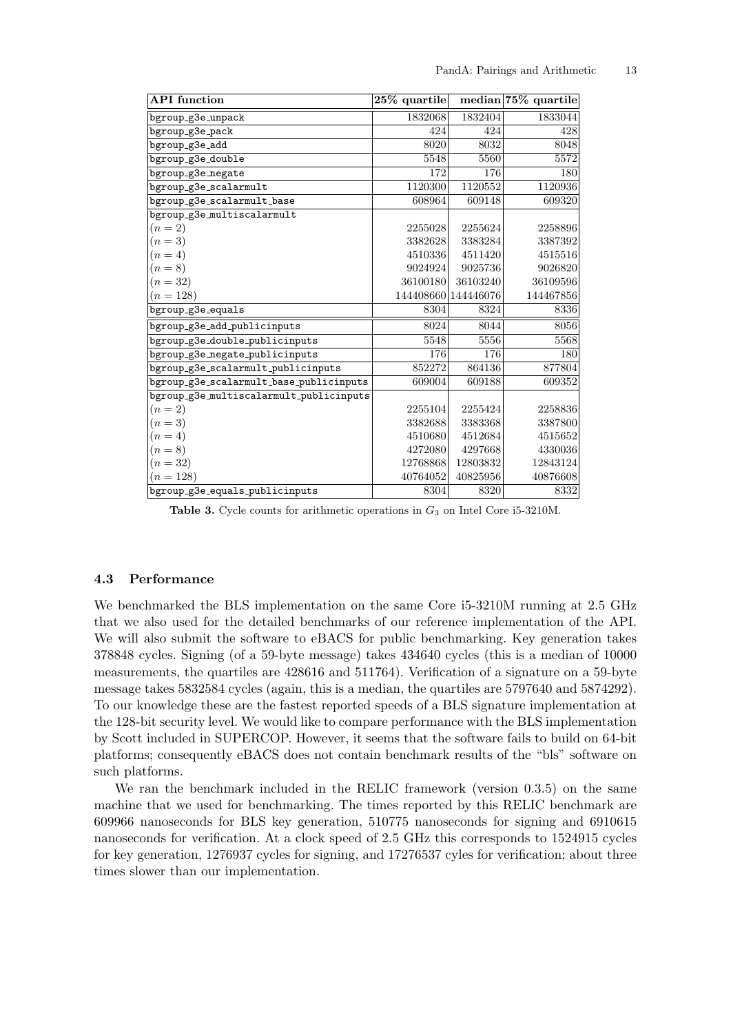| <b>API</b> function                     | $25\%$ quartile |                     | $median$ 75% quartile |
|-----------------------------------------|-----------------|---------------------|-----------------------|
| bgroup_g3e_unpack                       | 1832068         | 1832404             | 1833044               |
| bgroup_g3e_pack                         | 424             | 424                 | 428                   |
| bgroup_g3e_add                          | 8020            | 8032                | 8048                  |
| bgroup_g3e_double                       | 5548            | 5560                | 5572                  |
| bgroup_g3e_negate                       | 172             | 176                 | 180                   |
| bgroup_g3e_scalarmult                   | 1120300         | 1120552             | 1120936               |
| bgroup_g3e_scalarmult_base              | 608964          | 609148              | 609320                |
| bgroup_g3e_multiscalarmult              |                 |                     |                       |
| $(n=2)$                                 | 2255028         | 2255624             | 2258896               |
| $(n=3)$                                 | 3382628         | 3383284             | 3387392               |
| $(n=4)$                                 | 4510336         | 4511420             | 4515516               |
| $(n=8)$                                 | 9024924         | 9025736             | 9026820               |
| $(n=32)$                                | 36100180        | 36103240            | 36109596              |
| $(n=128)$                               |                 | 144408660 144446076 | 144467856             |
| bgroup_g3e_equals                       | 8304            | 8324                | 8336                  |
| bgroup_g3e_add_publicinputs             | 8024            | 8044                | 8056                  |
| bgroup_g3e_double_publicinputs          | 5548            | 5556                | 5568                  |
| bgroup_g3e_negate_publicinputs          | 176             | 176                 | 180                   |
| bgroup_g3e_scalarmult_publicinputs      | 852272          | 864136              | 877804                |
| bgroup_g3e_scalarmult_base_publicinputs | 609004          | 609188              | 609352                |
| bgroup_g3e_multiscalarmult_publicinputs |                 |                     |                       |
| $(n=2)$                                 | 2255104         | 2255424             | 2258836               |
| $(n=3)$                                 | 3382688         | 3383368             | 3387800               |
| $(n=4)$                                 | 4510680         | 4512684             | 4515652               |
| $(n=8)$                                 | 4272080         | 4297668             | 4330036               |
| $(n=32)$                                | 12768868        | 12803832            | 12843124              |
| $(n = 128)$                             | 40764052        | 40825956            | 40876608              |
| bgroup_g3e_equals_publicinputs          | 8304            | 8320                | 8332                  |

<span id="page-12-0"></span>Table 3. Cycle counts for arithmetic operations in  $G_3$  on Intel Core i5-3210M.

### 4.3 Performance

We benchmarked the BLS implementation on the same Core i5-3210M running at 2.5 GHz that we also used for the detailed benchmarks of our reference implementation of the API. We will also submit the software to eBACS for public benchmarking. Key generation takes 378848 cycles. Signing (of a 59-byte message) takes 434640 cycles (this is a median of 10000 measurements, the quartiles are 428616 and 511764). Verification of a signature on a 59-byte message takes 5832584 cycles (again, this is a median, the quartiles are 5797640 and 5874292). To our knowledge these are the fastest reported speeds of a BLS signature implementation at the 128-bit security level. We would like to compare performance with the BLS implementation by Scott included in SUPERCOP. However, it seems that the software fails to build on 64-bit platforms; consequently eBACS does not contain benchmark results of the "bls" software on such platforms.

We ran the benchmark included in the RELIC framework (version 0.3.5) on the same machine that we used for benchmarking. The times reported by this RELIC benchmark are 609966 nanoseconds for BLS key generation, 510775 nanoseconds for signing and 6910615 nanoseconds for verification. At a clock speed of 2.5 GHz this corresponds to 1524915 cycles for key generation, 1276937 cycles for signing, and 17276537 cyles for verification; about three times slower than our implementation.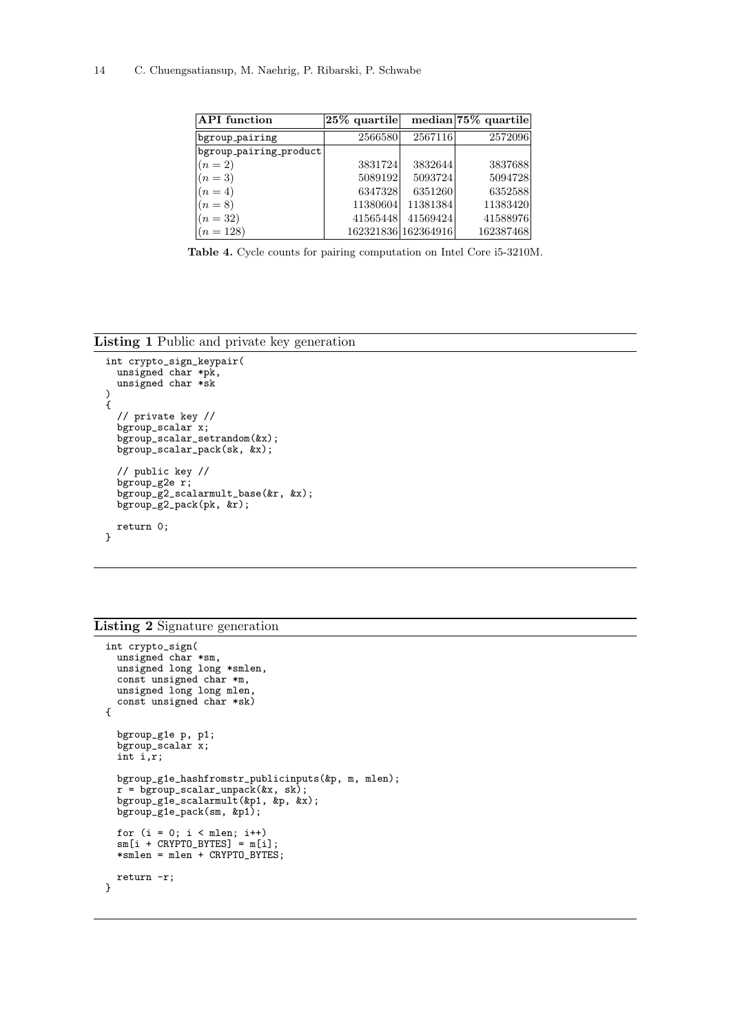| <b>API</b> function    | $25\%$ quartile |                     | median 75% quartile |
|------------------------|-----------------|---------------------|---------------------|
| bgroup_pairing         | 2566580         | 2567116             | 2572096             |
| bgroup_pairing_product |                 |                     |                     |
| $(n = 2)$              | 3831724         | 3832644             | 3837688             |
| $(n=3)$                | 5089192         | 5093724             | 5094728             |
| $(n=4)$                | 6347328         | 6351260             | 6352588             |
| $(n=8)$                | 11380604        | 11381384            | 11383420            |
| $(n=32)$               | 41565448        | 41569424            | 41588976            |
| $(n=128)$              |                 | 162321836 162364916 | 162387468           |

<span id="page-13-0"></span>Table 4. Cycle counts for pairing computation on Intel Core i5-3210M.

<span id="page-13-1"></span>Listing 1 Public and private key generation

```
int crypto_sign_keypair(
  unsigned char *pk,
  unsigned char *sk
)
{
  // private key //
  bgroup_scalar x;
  bgroup_scalar_setrandom(&x);
  bgroup_scalar_pack(sk, &x);
  // public key //
  bgroup_g2e r;
  bgroup_g2_scalarmult_base(&r, &x);
  bgroup_g2_pack(pk, &r);
 return 0;
}
```

```
Listing 2 Signature generation
```

```
int crypto_sign(
 unsigned char *sm,
  unsigned long long *smlen,
  const unsigned char *m,
  unsigned long long mlen,
  const unsigned char *sk)
{
  bgroup_g1e p, p1;
  bgroup_scalar x;
  int i,r;
  bgroup_g1e_hashfromstr_publicinputs(&p, m, mlen);
  r = bgroup_scalar_unpack(&x, sk);
  bgroup_g1e_scalarmult(&p1, &p, &x);
  bgroup_g1e_pack(sm, &p1);
  for (i = 0; i < mlen; i++)
  sm[i + CRYPTO_BYTES] = m[i];*smlen = mlen + CRYPTO_BYTES;
 return -r;
}
```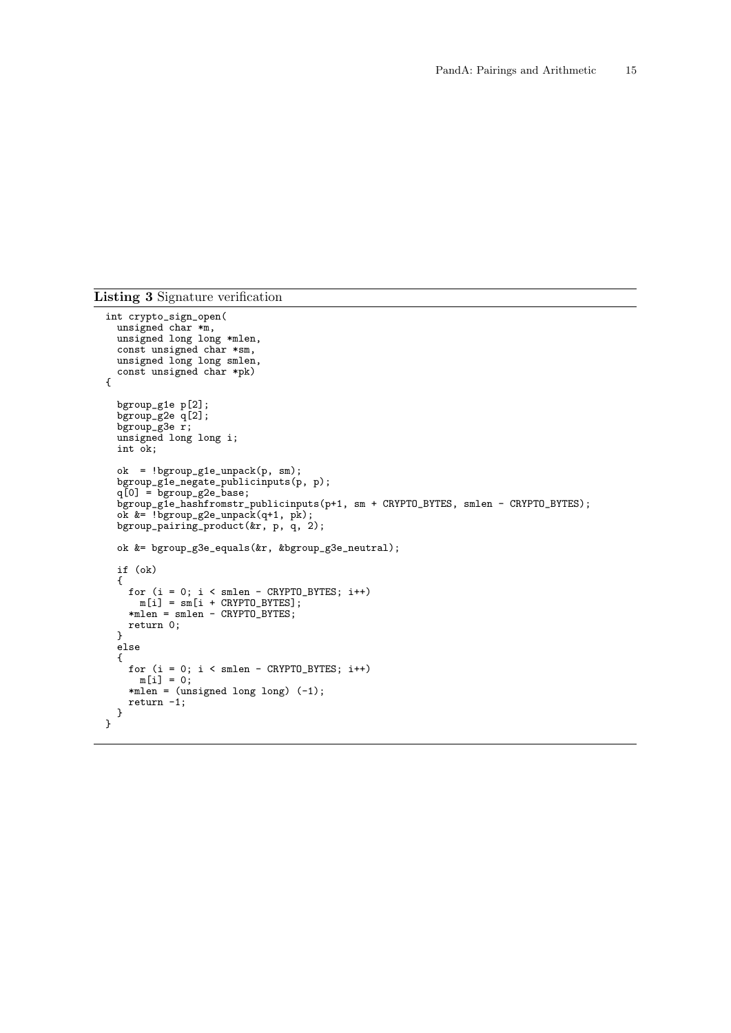<span id="page-14-0"></span>Listing 3 Signature verification

```
int crypto_sign_open(
  unsigned char *m,
 unsigned long long *mlen,
 const unsigned char *sm,
 unsigned long long smlen,
 const unsigned char *pk)
{
 bgroup_g1e p[2];
 bgroup_g2e q[2];
  bgroup_g3e r;
  unsigned long long i;
 int ok;
 ok = !bgroup_g1e_unpack(p, sm);
  bgroup_g1e_negate_publicinputs(p, p);
  q[0] = bgroup_g2e_base;
  bgroup_g1e_hashfromstr_publicinputs(p+1, sm + CRYPTO_BYTES, smlen - CRYPTO_BYTES);
  ok &= !bgroup_g2e_unpack(q+1, pk);
 bgroup_pairing_product(&r, p, q, 2);
 ok &= bgroup_g3e_equals(&r, &bgroup_g3e_neutral);
 if (ok)
 {
    for (i = 0; i < smlen - CRYPTO_BYTES; i++)
      m[i] = sm[i + CRYPTO_BYTES];*mlen = smlen - CRYPTO_BYTES;return 0;
 }
 else
 {
    for (i = 0; i < smlen - CRYPTO_BYTES; i++)
      m[i] = 0;
    *mlen = (unsigned long long) (-1);
   return -1;
  }
}
```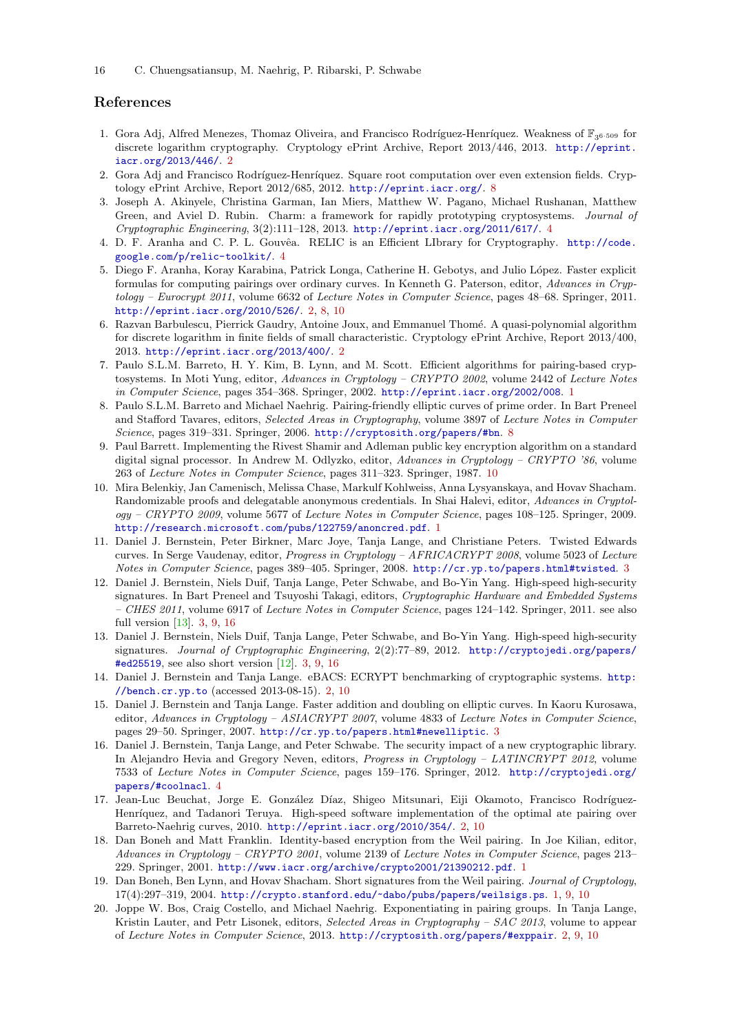<span id="page-15-20"></span>16 C. Chuengsatiansup, M. Naehrig, P. Ribarski, P. Schwabe

#### References

- <span id="page-15-9"></span>1. Gora Adj, Alfred Menezes, Thomaz Oliveira, and Francisco Rodríguez-Henríquez. Weakness of  $\mathbb{F}_{36\text{-}509}$  for discrete logarithm cryptography. Cryptology ePrint Archive, Report 2013/446, 2013. [http://eprint.](http://eprint.iacr.org/2013/446/) [iacr.org/2013/446/](http://eprint.iacr.org/2013/446/). [2](#page-1-0)
- <span id="page-15-18"></span>2. Gora Adj and Francisco Rodríguez-Henríquez. Square root computation over even extension fields. Cryptology ePrint Archive, Report 2012/685, 2012. <http://eprint.iacr.org/>. [8](#page-7-1)
- <span id="page-15-16"></span>3. Joseph A. Akinyele, Christina Garman, Ian Miers, Matthew W. Pagano, Michael Rushanan, Matthew Green, and Aviel D. Rubin. Charm: a framework for rapidly prototyping cryptosystems. Journal of Cryptographic Engineering, 3(2):111–128, 2013. <http://eprint.iacr.org/2011/617/>. [4](#page-3-1)
- <span id="page-15-15"></span>4. D. F. Aranha and C. P. L. Gouvêa. RELIC is an Efficient LIbrary for Cryptography. [http://code.](http://code.google.com/p/relic-toolkit/) [google.com/p/relic-toolkit/](http://code.google.com/p/relic-toolkit/). [4](#page-3-1)
- <span id="page-15-5"></span>5. Diego F. Aranha, Koray Karabina, Patrick Longa, Catherine H. Gebotys, and Julio L´opez. Faster explicit formulas for computing pairings over ordinary curves. In Kenneth G. Paterson, editor, Advances in Cryptology – Eurocrypt 2011, volume 6632 of Lecture Notes in Computer Science, pages 48–68. Springer, 2011. <http://eprint.iacr.org/2010/526/>. [2,](#page-1-0) [8,](#page-7-1) [10](#page-9-1)
- <span id="page-15-8"></span>6. Razvan Barbulescu, Pierrick Gaudry, Antoine Joux, and Emmanuel Thomé. A quasi-polynomial algorithm for discrete logarithm in finite fields of small characteristic. Cryptology ePrint Archive, Report 2013/400, 2013. <http://eprint.iacr.org/2013/400/>. [2](#page-1-0)
- <span id="page-15-3"></span>7. Paulo S.L.M. Barreto, H. Y. Kim, B. Lynn, and M. Scott. Efficient algorithms for pairing-based cryptosystems. In Moti Yung, editor, Advances in Cryptology – CRYPTO 2002, volume 2442 of Lecture Notes in Computer Science, pages 354–368. Springer, 2002. <http://eprint.iacr.org/2002/008>. [1](#page-0-0)
- <span id="page-15-17"></span>8. Paulo S.L.M. Barreto and Michael Naehrig. Pairing-friendly elliptic curves of prime order. In Bart Preneel and Stafford Tavares, editors, Selected Areas in Cryptography, volume 3897 of Lecture Notes in Computer Science, pages 319–331. Springer, 2006. <http://cryptosith.org/papers/#bn>. [8](#page-7-1)
- <span id="page-15-19"></span>9. Paul Barrett. Implementing the Rivest Shamir and Adleman public key encryption algorithm on a standard digital signal processor. In Andrew M. Odlyzko, editor, Advances in Cryptology – CRYPTO '86, volume 263 of Lecture Notes in Computer Science, pages 311–323. Springer, 1987. [10](#page-9-1)
- <span id="page-15-2"></span>10. Mira Belenkiy, Jan Camenisch, Melissa Chase, Markulf Kohlweiss, Anna Lysyanskaya, and Hovav Shacham. Randomizable proofs and delegatable anonymous credentials. In Shai Halevi, editor, Advances in Cryptology – CRYPTO 2009, volume 5677 of Lecture Notes in Computer Science, pages 108–125. Springer, 2009. <http://research.microsoft.com/pubs/122759/anoncred.pdf>. [1](#page-0-0)
- <span id="page-15-13"></span>11. Daniel J. Bernstein, Peter Birkner, Marc Joye, Tanja Lange, and Christiane Peters. Twisted Edwards curves. In Serge Vaudenay, editor, Progress in Cryptology – AFRICACRYPT 2008, volume 5023 of Lecture Notes in Computer Science, pages 389–405. Springer, 2008. <http://cr.yp.to/papers.html#twisted>. [3](#page-2-1)
- <span id="page-15-10"></span>12. Daniel J. Bernstein, Niels Duif, Tanja Lange, Peter Schwabe, and Bo-Yin Yang. High-speed high-security signatures. In Bart Preneel and Tsuyoshi Takagi, editors, Cryptographic Hardware and Embedded Systems – CHES 2011, volume 6917 of Lecture Notes in Computer Science, pages 124–142. Springer, 2011. see also full version [\[13\]](#page-15-11). [3,](#page-2-1) [9,](#page-8-2) [16](#page-15-20)
- <span id="page-15-11"></span>13. Daniel J. Bernstein, Niels Duif, Tanja Lange, Peter Schwabe, and Bo-Yin Yang. High-speed high-security signatures. Journal of Cryptographic Engineering, 2(2):77–89, 2012. [http://cryptojedi.org/papers/](http://cryptojedi.org/papers/#ed25519) [#ed25519](http://cryptojedi.org/papers/#ed25519), see also short version [\[12\]](#page-15-10). [3,](#page-2-1) [9,](#page-8-2) [16](#page-15-20)
- <span id="page-15-7"></span>14. Daniel J. Bernstein and Tanja Lange. eBACS: ECRYPT benchmarking of cryptographic systems. [http:](http://bench.cr.yp.to) [//bench.cr.yp.to](http://bench.cr.yp.to) (accessed 2013-08-15). [2,](#page-1-0) [10](#page-9-1)
- <span id="page-15-12"></span>15. Daniel J. Bernstein and Tanja Lange. Faster addition and doubling on elliptic curves. In Kaoru Kurosawa, editor, Advances in Cryptology – ASIACRYPT 2007, volume 4833 of Lecture Notes in Computer Science, pages 29–50. Springer, 2007. <http://cr.yp.to/papers.html#newelliptic>. [3](#page-2-1)
- <span id="page-15-14"></span>16. Daniel J. Bernstein, Tanja Lange, and Peter Schwabe. The security impact of a new cryptographic library. In Alejandro Hevia and Gregory Neven, editors, Progress in Cryptology – LATINCRYPT 2012, volume 7533 of Lecture Notes in Computer Science, pages 159–176. Springer, 2012. [http://cryptojedi.org/](http://cryptojedi.org/papers/#coolnacl) [papers/#coolnacl](http://cryptojedi.org/papers/#coolnacl). [4](#page-3-1)
- <span id="page-15-4"></span>17. Jean-Luc Beuchat, Jorge E. González Díaz, Shigeo Mitsunari, Eiji Okamoto, Francisco Rodríguez-Henríquez, and Tadanori Teruya. High-speed software implementation of the optimal ate pairing over Barreto-Naehrig curves, 2010. <http://eprint.iacr.org/2010/354/>. [2,](#page-1-0) [10](#page-9-1)
- <span id="page-15-0"></span>18. Dan Boneh and Matt Franklin. Identity-based encryption from the Weil pairing. In Joe Kilian, editor, Advances in Cryptology – CRYPTO 2001, volume 2139 of Lecture Notes in Computer Science, pages 213– 229. Springer, 2001. <http://www.iacr.org/archive/crypto2001/21390212.pdf>. [1](#page-0-0)
- <span id="page-15-1"></span>19. Dan Boneh, Ben Lynn, and Hovav Shacham. Short signatures from the Weil pairing. Journal of Cryptology, 17(4):297–319, 2004. <http://crypto.stanford.edu/~dabo/pubs/papers/weilsigs.ps>. [1,](#page-0-0) [9,](#page-8-2) [10](#page-9-1)
- <span id="page-15-6"></span>20. Joppe W. Bos, Craig Costello, and Michael Naehrig. Exponentiating in pairing groups. In Tanja Lange, Kristin Lauter, and Petr Lisonek, editors, Selected Areas in Cryptography – SAC 2013, volume to appear of Lecture Notes in Computer Science, 2013. <http://cryptosith.org/papers/#exppair>. [2,](#page-1-0) [9,](#page-8-2) [10](#page-9-1)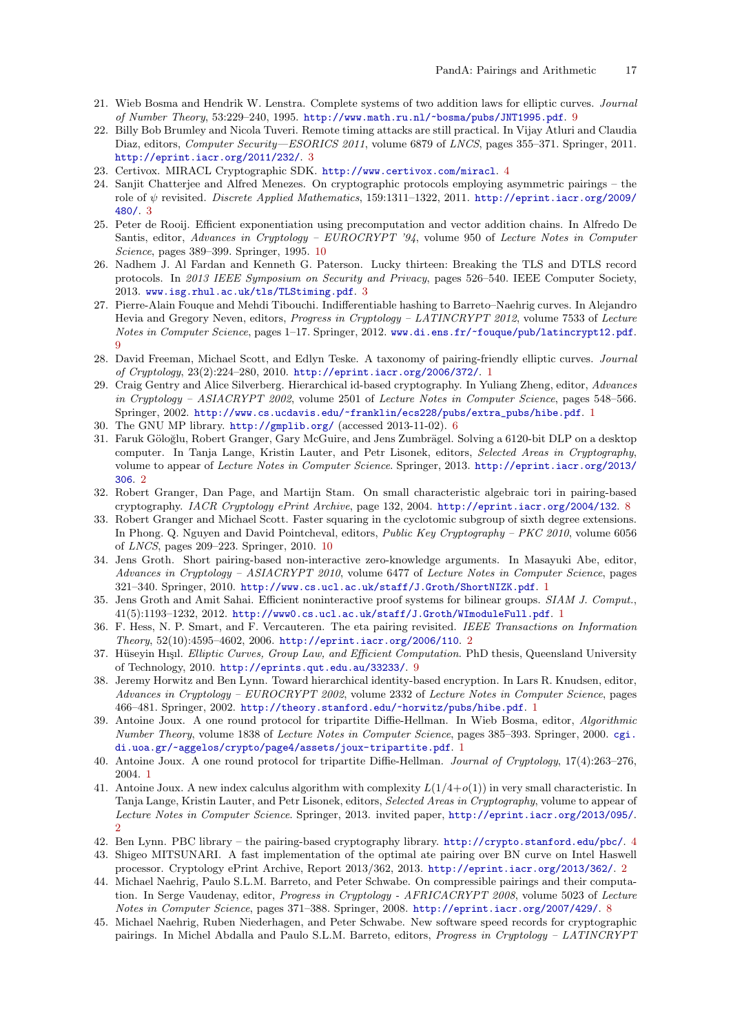- <span id="page-16-21"></span>21. Wieb Bosma and Hendrik W. Lenstra. Complete systems of two addition laws for elliptic curves. Journal of Number Theory, 53:229–240, 1995. <http://www.math.ru.nl/~bosma/pubs/JNT1995.pdf>. [9](#page-8-2)
- <span id="page-16-13"></span>22. Billy Bob Brumley and Nicola Tuveri. Remote timing attacks are still practical. In Vijay Atluri and Claudia Diaz, editors, Computer Security—ESORICS 2011, volume 6879 of LNCS, pages 355–371. Springer, 2011. <http://eprint.iacr.org/2011/232/>. [3](#page-2-1)
- <span id="page-16-15"></span>23. Certivox. MIRACL Cryptographic SDK. <http://www.certivox.com/miracl>. [4](#page-3-1)
- <span id="page-16-12"></span>24. Sanjit Chatterjee and Alfred Menezes. On cryptographic protocols employing asymmetric pairings – the role of  $\psi$  revisited. Discrete Applied Mathematics, 159:1311-1322, 2011. [http://eprint.iacr.org/2009/](http://eprint.iacr.org/2009/480/) [480/](http://eprint.iacr.org/2009/480/). [3](#page-2-1)
- <span id="page-16-23"></span>25. Peter de Rooij. Efficient exponentiation using precomputation and vector addition chains. In Alfredo De Santis, editor, Advances in Cryptology – EUROCRYPT '94, volume 950 of Lecture Notes in Computer Science, pages 389–399. Springer, 1995. [10](#page-9-1)
- <span id="page-16-14"></span>26. Nadhem J. Al Fardan and Kenneth G. Paterson. Lucky thirteen: Breaking the TLS and DTLS record protocols. In 2013 IEEE Symposium on Security and Privacy, pages 526–540. IEEE Computer Society, 2013. <www.isg.rhul.ac.uk/tls/TLStiming.pdf>. [3](#page-2-1)
- <span id="page-16-20"></span>27. Pierre-Alain Fouque and Mehdi Tibouchi. Indifferentiable hashing to Barreto–Naehrig curves. In Alejandro Hevia and Gregory Neven, editors, Progress in Cryptology – LATINCRYPT 2012, volume 7533 of Lecture Notes in Computer Science, pages 1–17. Springer, 2012. <www.di.ens.fr/~fouque/pub/latincrypt12.pdf>. [9](#page-8-2)
- <span id="page-16-6"></span>28. David Freeman, Michael Scott, and Edlyn Teske. A taxonomy of pairing-friendly elliptic curves. Journal of Cryptology, 23(2):224–280, 2010. <http://eprint.iacr.org/2006/372/>. [1](#page-0-0)
- <span id="page-16-3"></span>29. Craig Gentry and Alice Silverberg. Hierarchical id-based cryptography. In Yuliang Zheng, editor, Advances in Cryptology – ASIACRYPT 2002, volume 2501 of Lecture Notes in Computer Science, pages 548–566. Springer, 2002. [http://www.cs.ucdavis.edu/~franklin/ecs228/pubs/extra\\_pubs/hibe.pdf](http://www.cs.ucdavis.edu/~franklin/ecs228/pubs/extra_pubs/hibe.pdf). [1](#page-0-0)
- <span id="page-16-17"></span>30. The GNU MP library. <http://gmplib.org/> (accessed 2013-11-02). [6](#page-5-0)
- <span id="page-16-11"></span>31. Faruk Göloğlu, Robert Granger, Gary McGuire, and Jens Zumbrägel. Solving a 6120-bit DLP on a desktop computer. In Tanja Lange, Kristin Lauter, and Petr Lisonek, editors, Selected Areas in Cryptography, volume to appear of Lecture Notes in Computer Science. Springer, 2013. [http://eprint.iacr.org/2013/](http://eprint.iacr.org/2013/306) [306](http://eprint.iacr.org/2013/306). [2](#page-1-0)
- <span id="page-16-18"></span>32. Robert Granger, Dan Page, and Martijn Stam. On small characteristic algebraic tori in pairing-based cryptography. IACR Cryptology ePrint Archive, page 132, 2004. <http://eprint.iacr.org/2004/132>. [8](#page-7-1)
- <span id="page-16-24"></span>33. Robert Granger and Michael Scott. Faster squaring in the cyclotomic subgroup of sixth degree extensions. In Phong. Q. Nguyen and David Pointcheval, editors, Public Key Cryptography – PKC 2010, volume 6056 of LNCS, pages 209–223. Springer, 2010. [10](#page-9-1)
- <span id="page-16-5"></span>34. Jens Groth. Short pairing-based non-interactive zero-knowledge arguments. In Masayuki Abe, editor, Advances in Cryptology – ASIACRYPT 2010, volume 6477 of Lecture Notes in Computer Science, pages 321–340. Springer, 2010. <http://www.cs.ucl.ac.uk/staff/J.Groth/ShortNIZK.pdf>. [1](#page-0-0)
- <span id="page-16-4"></span>35. Jens Groth and Amit Sahai. Efficient noninteractive proof systems for bilinear groups. SIAM J. Comput., 41(5):1193–1232, 2012. <http://www0.cs.ucl.ac.uk/staff/J.Groth/WImoduleFull.pdf>. [1](#page-0-0)
- <span id="page-16-7"></span>36. F. Hess, N. P. Smart, and F. Vercauteren. The eta pairing revisited. IEEE Transactions on Information Theory, 52(10):4595–4602, 2006. <http://eprint.iacr.org/2006/110>. [2](#page-1-0)
- <span id="page-16-22"></span>37. Hüseyin Hışıl. Elliptic Curves, Group Law, and Efficient Computation. PhD thesis, Queensland University of Technology, 2010. <http://eprints.qut.edu.au/33233/>. [9](#page-8-2)
- <span id="page-16-2"></span>38. Jeremy Horwitz and Ben Lynn. Toward hierarchical identity-based encryption. In Lars R. Knudsen, editor, Advances in Cryptology – EUROCRYPT 2002, volume 2332 of Lecture Notes in Computer Science, pages 466–481. Springer, 2002. <http://theory.stanford.edu/~horwitz/pubs/hibe.pdf>. [1](#page-0-0)
- <span id="page-16-0"></span>39. Antoine Joux. A one round protocol for tripartite Diffie-Hellman. In Wieb Bosma, editor, Algorithmic Number Theory, volume 1838 of Lecture Notes in Computer Science, pages 385–393. Springer, 2000. [cgi.](cgi.di.uoa.gr/~aggelos/crypto/page4/assets/joux-tripartite.pdf) [di.uoa.gr/~aggelos/crypto/page4/assets/joux-tripartite.pdf](cgi.di.uoa.gr/~aggelos/crypto/page4/assets/joux-tripartite.pdf). [1](#page-0-0)
- <span id="page-16-1"></span>40. Antoine Joux. A one round protocol for tripartite Diffie-Hellman. Journal of Cryptology, 17(4):263–276, 2004. [1](#page-0-0)
- <span id="page-16-10"></span>41. Antoine Joux. A new index calculus algorithm with complexity  $L(1/4+o(1))$  in very small characteristic. In Tanja Lange, Kristin Lauter, and Petr Lisonek, editors, Selected Areas in Cryptography, volume to appear of Lecture Notes in Computer Science. Springer, 2013. invited paper, <http://eprint.iacr.org/2013/095/>. [2](#page-1-0)
- <span id="page-16-16"></span>42. Ben Lynn. PBC library – the pairing-based cryptography library. <http://crypto.stanford.edu/pbc/>. [4](#page-3-1)
- <span id="page-16-9"></span>43. Shigeo MITSUNARI. A fast implementation of the optimal ate pairing over BN curve on Intel Haswell processor. Cryptology ePrint Archive, Report 2013/362, 2013. <http://eprint.iacr.org/2013/362/>. [2](#page-1-0)
- <span id="page-16-19"></span>44. Michael Naehrig, Paulo S.L.M. Barreto, and Peter Schwabe. On compressible pairings and their computation. In Serge Vaudenay, editor, Progress in Cryptology - AFRICACRYPT 2008, volume 5023 of Lecture Notes in Computer Science, pages 371–388. Springer, 2008. <http://eprint.iacr.org/2007/429/>. [8](#page-7-1)
- <span id="page-16-8"></span>45. Michael Naehrig, Ruben Niederhagen, and Peter Schwabe. New software speed records for cryptographic pairings. In Michel Abdalla and Paulo S.L.M. Barreto, editors, Progress in Cryptology – LATINCRYPT